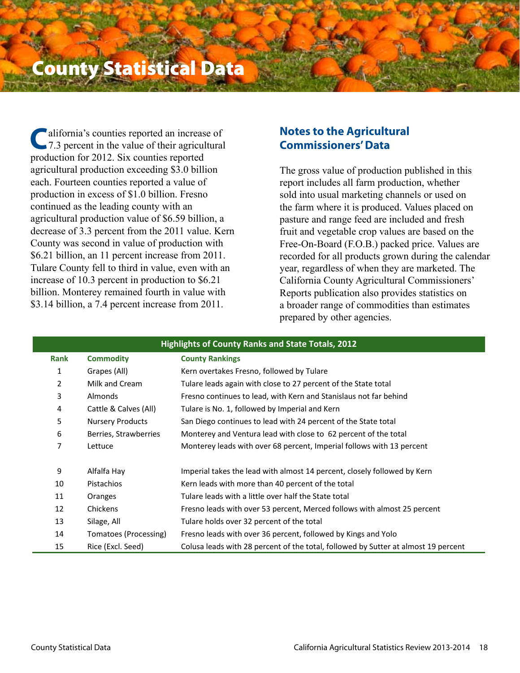# County Statistical Data

 alifornia's counties reported an increase of 7.3 percent in the value of their agricultural production for 2012. Six counties reported agricultural production exceeding \$3.0 billion each. Fourteen counties reported a value of production in excess of \$1.0 billion. Fresno continued as the leading county with an agricultural production value of \$6.59 billion, a decrease of 3.3 percent from the 2011 value. Kern County was second in value of production with \$6.21 billion, an 11 percent increase from 2011. Tulare County fell to third in value, even with an increase of 10.3 percent in production to \$6.21 billion. Monterey remained fourth in value with \$3.14 billion, a 7.4 percent increase from 2011. **C**

# **Notes to the Agricultural Commissioners' Data**

The gross value of production published in this report includes all farm production, whether sold into usual marketing channels or used on the farm where it is produced. Values placed on pasture and range feed are included and fresh fruit and vegetable crop values are based on the Free-On-Board (F.O.B.) packed price. Values are recorded for all products grown during the calendar year, regardless of when they are marketed. The California County Agricultural Commissioners' Reports publication also provides statistics on a broader range of commodities than estimates prepared by other agencies.

|             | <b>Highlights of County Ranks and State Totals, 2012</b> |                                                                                    |  |  |  |  |  |  |
|-------------|----------------------------------------------------------|------------------------------------------------------------------------------------|--|--|--|--|--|--|
| <b>Rank</b> | <b>Commodity</b>                                         | <b>County Rankings</b>                                                             |  |  |  |  |  |  |
| 1           | Grapes (All)                                             | Kern overtakes Fresno, followed by Tulare                                          |  |  |  |  |  |  |
| 2           | Milk and Cream                                           | Tulare leads again with close to 27 percent of the State total                     |  |  |  |  |  |  |
| 3           | Almonds                                                  | Fresno continues to lead, with Kern and Stanislaus not far behind                  |  |  |  |  |  |  |
| 4           | Cattle & Calves (All)                                    | Tulare is No. 1, followed by Imperial and Kern                                     |  |  |  |  |  |  |
| 5           | <b>Nursery Products</b>                                  | San Diego continues to lead with 24 percent of the State total                     |  |  |  |  |  |  |
| 6           | Berries, Strawberries                                    | Monterey and Ventura lead with close to 62 percent of the total                    |  |  |  |  |  |  |
| 7           | Lettuce                                                  | Monterey leads with over 68 percent, Imperial follows with 13 percent              |  |  |  |  |  |  |
|             |                                                          |                                                                                    |  |  |  |  |  |  |
| 9           | Alfalfa Hay                                              | Imperial takes the lead with almost 14 percent, closely followed by Kern           |  |  |  |  |  |  |
| 10          | Pistachios                                               | Kern leads with more than 40 percent of the total                                  |  |  |  |  |  |  |
| 11          | Oranges                                                  | Tulare leads with a little over half the State total                               |  |  |  |  |  |  |
| 12          | Chickens                                                 | Fresno leads with over 53 percent, Merced follows with almost 25 percent           |  |  |  |  |  |  |
| 13          | Silage, All                                              | Tulare holds over 32 percent of the total                                          |  |  |  |  |  |  |
| 14          | Tomatoes (Processing)                                    | Fresno leads with over 36 percent, followed by Kings and Yolo                      |  |  |  |  |  |  |
| 15          | Rice (Excl. Seed)                                        | Colusa leads with 28 percent of the total, followed by Sutter at almost 19 percent |  |  |  |  |  |  |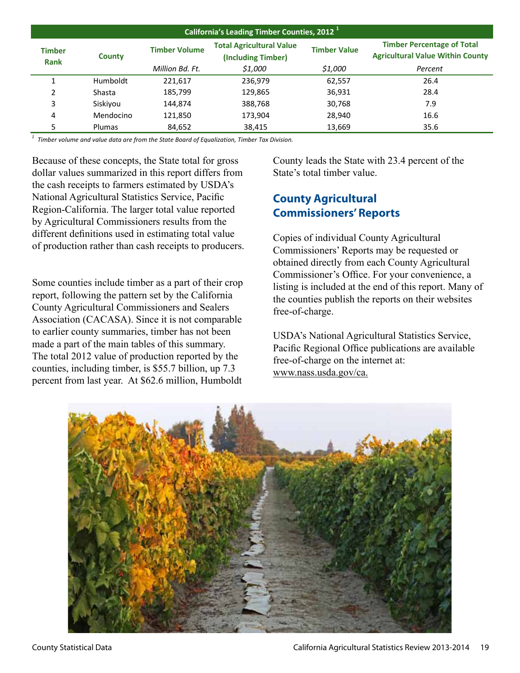|                              | California's Leading Timber Counties, 2012 <sup>1</sup> |                      |                                                       |                     |                                                                              |  |  |  |  |  |
|------------------------------|---------------------------------------------------------|----------------------|-------------------------------------------------------|---------------------|------------------------------------------------------------------------------|--|--|--|--|--|
| <b>Timber</b><br><b>Rank</b> | County                                                  | <b>Timber Volume</b> | <b>Total Agricultural Value</b><br>(Including Timber) | <b>Timber Value</b> | <b>Timber Percentage of Total</b><br><b>Agricultural Value Within County</b> |  |  |  |  |  |
|                              |                                                         | Million Bd. Ft.      | \$1,000                                               | \$1,000             | Percent                                                                      |  |  |  |  |  |
|                              | Humboldt                                                | 221,617              | 236,979                                               | 62,557              | 26.4                                                                         |  |  |  |  |  |
| 2                            | Shasta                                                  | 185,799              | 129,865                                               | 36,931              | 28.4                                                                         |  |  |  |  |  |
| 3                            | Siskiyou                                                | 144,874              | 388,768                                               | 30,768              | 7.9                                                                          |  |  |  |  |  |
| 4                            | Mendocino                                               | 121,850              | 173,904                                               | 28,940              | 16.6                                                                         |  |  |  |  |  |
|                              | <b>Plumas</b>                                           | 84,652               | 38,415                                                | 13,669              | 35.6                                                                         |  |  |  |  |  |

*1 Timber volume and value data are from the State Board of Equalization, Timber Tax Division.*

Because of these concepts, the State total for gross dollar values summarized in this report differs from the cash receipts to farmers estimated by USDA's National Agricultural Statistics Service, Pacific Region-California. The larger total value reported by Agricultural Commissioners results from the different definitions used in estimating total value of production rather than cash receipts to producers.

Some counties include timber as a part of their crop report, following the pattern set by the California County Agricultural Commissioners and Sealers Association (CACASA). Since it is not comparable to earlier county summaries, timber has not been made a part of the main tables of this summary. The total 2012 value of production reported by the counties, including timber, is \$55.7 billion, up 7.3 percent from last year. At \$62.6 million, Humboldt County leads the State with 23.4 percent of the State's total timber value.

# **County Agricultural Commissioners' Reports**

Copies of individual County Agricultural Commissioners' Reports may be requested or obtained directly from each County Agricultural Commissioner's Office. For your convenience, a listing is included at the end of this report. Many of the counties publish the reports on their websites free-of-charge.

USDA's National Agricultural Statistics Service, Pacific Regional Office publications are available free-of-charge on the internet at: www.nass.usda.gov/ca.

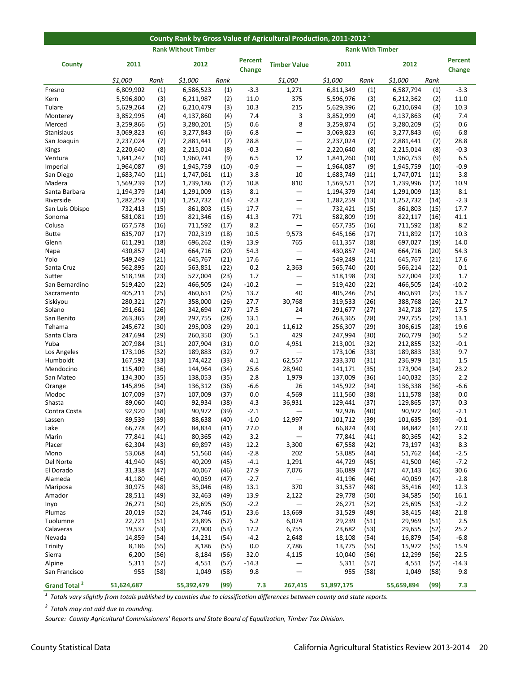|                          | County Rank by Gross Value of Agricultural Production, 2011-2012 |              |                            |              |                                 |                          |                        |                         |                        |              |                          |
|--------------------------|------------------------------------------------------------------|--------------|----------------------------|--------------|---------------------------------|--------------------------|------------------------|-------------------------|------------------------|--------------|--------------------------|
|                          |                                                                  |              | <b>Rank Without Timber</b> |              |                                 |                          |                        | <b>Rank With Timber</b> |                        |              |                          |
| County                   | 2011                                                             |              | 2012                       |              | <b>Percent</b><br><b>Change</b> | <b>Timber Value</b>      | 2011                   |                         | 2012                   |              | <b>Percent</b><br>Change |
|                          | \$1,000                                                          | Rank         | \$1,000                    | Rank         |                                 | \$1,000                  | \$1,000                | Rank                    | \$1,000                | Rank         |                          |
| Fresno                   | 6,809,902                                                        | (1)          | 6,586,523                  | (1)          | $-3.3$                          | 1,271                    | 6,811,349              | (1)                     | 6,587,794              | (1)          | $-3.3$                   |
| Kern                     | 5,596,800                                                        | (3)          | 6,211,987                  | (2)          | 11.0                            | 375                      | 5,596,976              | (3)                     | 6,212,362              | (2)          | 11.0                     |
| Tulare                   | 5,629,264                                                        | (2)          | 6,210,479                  | (3)          | 10.3                            | 215                      | 5,629,396              | (2)                     | 6,210,694              | (3)          | 10.3                     |
| Monterey                 | 3,852,995                                                        | (4)          | 4,137,860                  | (4)          | 7.4                             | 3                        | 3,852,999              | (4)                     | 4,137,863              | (4)          | 7.4                      |
| Merced                   | 3,259,866                                                        | (5)          | 3,280,201                  | (5)          | 0.6                             | 8                        | 3,259,874              | (5)                     | 3,280,209              | (5)          | 0.6                      |
| <b>Stanislaus</b>        | 3,069,823                                                        | (6)          | 3,277,843                  | (6)          | 6.8                             | —                        | 3,069,823              | (6)                     | 3,277,843              | (6)          | 6.8                      |
| San Joaquin              | 2,237,024<br>2,220,640                                           | (7)          | 2,881,441                  | (7)          | 28.8<br>$-0.3$                  | —                        | 2,237,024              | (7)                     | 2,881,441<br>2,215,014 | (7)          | 28.8<br>$-0.3$           |
| Kings<br>Ventura         | 1,841,247                                                        | (8)<br>(10)  | 2,215,014<br>1,960,741     | (8)<br>(9)   | 6.5                             | —<br>12                  | 2,220,640<br>1,841,260 | (8)<br>(10)             | 1,960,753              | (8)<br>(9)   | 6.5                      |
| Imperial                 | 1,964,087                                                        | (9)          | 1,945,759                  | (10)         | $-0.9$                          | —                        | 1,964,087              | (9)                     | 1,945,759              | (10)         | $-0.9$                   |
| San Diego                | 1,683,740                                                        | (11)         | 1,747,061                  | (11)         | 3.8                             | 10                       | 1,683,749              | (11)                    | 1,747,071              | (11)         | 3.8                      |
| Madera                   | 1,569,239                                                        | (12)         | 1,739,186                  | (12)         | 10.8                            | 810                      | 1,569,521              | (12)                    | 1,739,996              | (12)         | 10.9                     |
| Santa Barbara            | 1,194,379                                                        | (14)         | 1,291,009                  | (13)         | 8.1                             | —                        | 1,194,379              | (14)                    | 1,291,009              | (13)         | 8.1                      |
| Riverside                | 1,282,259                                                        | (13)         | 1,252,732                  | (14)         | $-2.3$                          | —                        | 1,282,259              | (13)                    | 1,252,732              | (14)         | $-2.3$                   |
| San Luis Obispo          | 732,413                                                          | (15)         | 861,803                    | (15)         | 17.7                            | $\qquad \qquad \qquad$   | 732,421                | (15)                    | 861,803                | (15)         | 17.7                     |
| Sonoma                   | 581,081                                                          | (19)         | 821,346                    | (16)         | 41.3                            | 771                      | 582,809                | (19)                    | 822,117                | (16)         | 41.1                     |
| Colusa                   | 657,578                                                          | (16)         | 711,592                    | (17)         | 8.2                             | $\overline{\phantom{0}}$ | 657,735                | (16)                    | 711,592                | (18)         | 8.2                      |
| <b>Butte</b>             | 635,707                                                          | (17)         | 702,319                    | (18)         | 10.5                            | 9,573                    | 645,166                | (17)                    | 711,892                | (17)         | 10.3                     |
| Glenn                    | 611,291                                                          | (18)         | 696,262                    | (19)         | 13.9                            | 765                      | 611,357                | (18)                    | 697,027                | (19)         | 14.0                     |
| Napa                     | 430,857                                                          | (24)         | 664,716                    | (20)         | 54.3                            | -                        | 430,857                | (24)                    | 664,716                | (20)         | 54.3                     |
| Yolo                     | 549,249                                                          | (21)         | 645,767                    | (21)         | 17.6                            | —                        | 549,249                | (21)                    | 645,767                | (21)         | 17.6                     |
| Santa Cruz<br>Sutter     | 562,895<br>518,198                                               | (20)<br>(23) | 563,851<br>527,004         | (22)<br>(23) | 0.2<br>1.7                      | 2,363<br>—               | 565,740<br>518,198     | (20)<br>(23)            | 566,214<br>527,004     | (22)<br>(23) | 0.1<br>1.7               |
| San Bernardino           | 519,420                                                          | (22)         | 466,505                    | (24)         | $-10.2$                         | $\qquad \qquad \qquad$   | 519,420                | (22)                    | 466,505                | (24)         | $-10.2$                  |
| Sacramento               | 405,211                                                          | (25)         | 460,651                    | (25)         | 13.7                            | 40                       | 405,246                | (25)                    | 460,691                | (25)         | 13.7                     |
| Siskiyou                 | 280,321                                                          | (27)         | 358,000                    | (26)         | 27.7                            | 30,768                   | 319,533                | (26)                    | 388,768                | (26)         | 21.7                     |
| Solano                   | 291,661                                                          | (26)         | 342,694                    | (27)         | 17.5                            | 24                       | 291,677                | (27)                    | 342,718                | (27)         | 17.5                     |
| San Benito               | 263,365                                                          | (28)         | 297,755                    | (28)         | 13.1                            | -                        | 263,365                | (28)                    | 297,755                | (29)         | 13.1                     |
| Tehama                   | 245,672                                                          | (30)         | 295,003                    | (29)         | 20.1                            | 11,612                   | 256,307                | (29)                    | 306,615                | (28)         | 19.6                     |
| Santa Clara              | 247,694                                                          | (29)         | 260,350                    | (30)         | 5.1                             | 429                      | 247,994                | (30)                    | 260,779                | (30)         | 5.2                      |
| Yuba                     | 207,984                                                          | (31)         | 207,904                    | (31)         | 0.0                             | 4,951                    | 213,001                | (32)                    | 212,855                | (32)         | $-0.1$                   |
| Los Angeles              | 173,106                                                          | (32)         | 189,883                    | (32)         | 9.7                             | -                        | 173,106                | (33)                    | 189,883                | (33)         | 9.7                      |
| Humboldt                 | 167,592                                                          | (33)         | 174,422                    | (33)         | 4.1                             | 62,557                   | 233,370                | (31)                    | 236,979                | (31)         | 1.5                      |
| Mendocino                | 115,409                                                          | (36)         | 144,964                    | (34)         | 25.6                            | 28,940                   | 141,171                | (35)                    | 173,904                | (34)         | 23.2                     |
| San Mateo                | 134,300                                                          | (35)         | 138,053                    | (35)<br>(36) | 2.8<br>$-6.6$                   | 1,979<br>26              | 137,009<br>145,922     | (36)<br>(34)            | 140,032                | (35)         | 2.2<br>-6.6              |
| Orange<br>Modoc          | 145,896<br>107,009                                               | (34)<br>(37) | 136,312<br>107,009         | (37)         | 0.0                             | 4,569                    | 111,560                | (38)                    | 136,338<br>111,578     | (36)<br>(38) | 0.0                      |
| Shasta                   | 89,060                                                           | (40)         | 92,934                     | (38)         | 4.3                             | 36,931                   | 129,441                | (37)                    | 129,865                | (37)         | 0.3                      |
| Contra Costa             | 92,920                                                           | (38)         | 90,972                     | (39)         | $-2.1$                          |                          | 92,926                 | (40)                    | 90,972                 | (40)         | $-2.1$                   |
| Lassen                   | 89,539                                                           | (39)         | 88,638                     | (40)         | $-1.0$                          | 12,997                   | 101,712                | (39)                    | 101,635                | (39)         | $-0.1$                   |
| Lake                     | 66,778                                                           | (42)         | 84,834                     | (41)         | 27.0                            | 8                        | 66,824                 | (43)                    | 84,842                 | (41)         | 27.0                     |
| Marin                    | 77,841                                                           | (41)         | 80,365                     | (42)         | 3.2                             | -                        | 77,841                 | (41)                    | 80,365                 | (42)         | 3.2                      |
| Placer                   | 62,304                                                           | (43)         | 69,897                     | (43)         | 12.2                            | 3,300                    | 67,558                 | (42)                    | 73,197                 | (43)         | 8.3                      |
| Mono                     | 53,068                                                           | (44)         | 51,560                     | (44)         | $-2.8$                          | 202                      | 53,085                 | (44)                    | 51,762                 | (44)         | -2.5                     |
| Del Norte                | 41,940                                                           | (45)         | 40,209                     | (45)         | $-4.1$                          | 1,291                    | 44,729                 | (45)                    | 41,500                 | (46)         | $-7.2$                   |
| El Dorado                | 31,338                                                           | (47)         | 40,067                     | (46)         | 27.9                            | 7,076                    | 36,089                 | (47)                    | 47,143                 | (45)         | 30.6                     |
| Alameda                  | 41,180                                                           | (46)         | 40,059                     | (47)         | $-2.7$                          |                          | 41,196                 | (46)                    | 40,059                 | (47)         | $-2.8$                   |
| Mariposa                 | 30,975                                                           | (48)         | 35,046                     | (48)         | 13.1                            | 370                      | 31,537                 | (48)                    | 35,416                 | (49)         | 12.3                     |
| Amador                   | 28,511                                                           | (49)         | 32,463                     | (49)         | 13.9                            | 2,122                    | 29,778                 | (50)                    | 34,585                 | (50)         | 16.1                     |
| Inyo<br>Plumas           | 26,271<br>20,019                                                 | (50)<br>(52) | 25,695<br>24,746           | (50)<br>(51) | $-2.2$<br>23.6                  | 13,669                   | 26,271<br>31,529       | (52)<br>(49)            | 25,695<br>38,415       | (53)<br>(48) | $-2.2$<br>21.8           |
| Tuolumne                 | 22,721                                                           | (51)         | 23,895                     | (52)         | 5.2                             | 6,074                    | 29,239                 | (51)                    | 29,969                 | (51)         | 2.5                      |
| Calaveras                | 19,537                                                           | (53)         | 22,900                     | (53)         | 17.2                            | 6,755                    | 23,682                 | (53)                    | 29,655                 | (52)         | 25.2                     |
| Nevada                   | 14,859                                                           | (54)         | 14,231                     | (54)         | $-4.2$                          | 2,648                    | 18,108                 | (54)                    | 16,879                 | (54)         | $-6.8$                   |
| Trinity                  | 8,186                                                            | (55)         | 8,186                      | (55)         | 0.0                             | 7,786                    | 13,775                 | (55)                    | 15,972                 | (55)         | 15.9                     |
| Sierra                   | 6,200                                                            | (56)         | 8,184                      | (56)         | 32.0                            | 4,115                    | 10,040                 | (56)                    | 12,299                 | (56)         | 22.5                     |
| Alpine                   | 5,311                                                            | (57)         | 4,551                      | (57)         | $-14.3$                         |                          | 5,311                  | (57)                    | 4,551                  | (57)         | $-14.3$                  |
| San Francisco            | 955                                                              | (58)         | 1,049                      | (58)         | 9.8                             | —                        | 955                    | (58)                    | 1,049                  | (58)         | 9.8                      |
| Grand Total <sup>2</sup> | 51,624,687                                                       |              | 55,392,479                 | (99)         | 7.3                             | 267,415                  | 51,897,175             |                         | 55,659,894             | (99)         | 7.3                      |

*1 Totals vary slightly from totals published by counties due to classification differences between county and state reports.* 

*2 Totals may not add due to rounding.*

*Source: County Agricultural Commissioners' Reports and State Board of Equalization, Timber Tax Division.*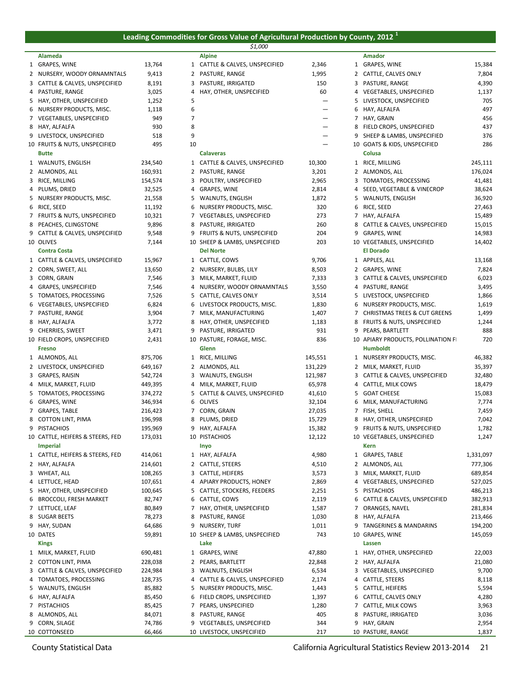## **Leading Commodities for Gross Value of Agricultural Production by County, 2012 <sup>1</sup>**

|                                                          |                    |        | \$1,000                                          |                          |   |                                                       |                  |
|----------------------------------------------------------|--------------------|--------|--------------------------------------------------|--------------------------|---|-------------------------------------------------------|------------------|
| Alameda                                                  |                    |        | <b>Alpine</b>                                    |                          |   | <b>Amador</b>                                         |                  |
| 1 GRAPES, WINE                                           | 13,764             |        | 1 CATTLE & CALVES, UNSPECIFIED                   | 2,346                    |   | 1 GRAPES, WINE                                        | 15,384           |
| 2 NURSERY, WOODY ORNAMNTALS                              | 9,413              |        | 2 PASTURE, RANGE                                 | 1,995                    |   | 2 CATTLE, CALVES ONLY                                 | 7,804            |
| 3 CATTLE & CALVES, UNSPECIFIED                           | 8,191              | 3      | PASTURE, IRRIGATED                               | 150                      | 3 | PASTURE, RANGE                                        | 4,390            |
| 4 PASTURE, RANGE                                         | 3,025              | 4      | HAY, OTHER, UNSPECIFIED                          | 60                       |   | 4 VEGETABLES, UNSPECIFIED                             | 1,137            |
| 5 HAY, OTHER, UNSPECIFIED                                | 1,252              | 5      |                                                  |                          | 5 | LIVESTOCK, UNSPECIFIED                                | 705<br>497       |
| 6 NURSERY PRODUCTS, MISC.                                | 1,118<br>949       | 6<br>7 |                                                  | $\overline{\phantom{m}}$ | 6 | HAY, ALFALFA<br>7 HAY, GRAIN                          | 456              |
| 7 VEGETABLES, UNSPECIFIED<br>8 HAY, ALFALFA              | 930                | 8      |                                                  | $\qquad \qquad$          | 8 | FIELD CROPS, UNSPECIFIED                              | 437              |
| 9 LIVESTOCK, UNSPECIFIED                                 | 518                | 9      |                                                  | $\overline{\phantom{m}}$ | 9 | SHEEP & LAMBS, UNSPECIFIED                            | 376              |
| 10 FRUITS & NUTS, UNSPECIFIED                            | 495                | 10     |                                                  |                          |   | 10 GOATS & KIDS, UNSPECIFIED                          | 286              |
| <b>Butte</b>                                             |                    |        | <b>Calaveras</b>                                 |                          |   | Colusa                                                |                  |
| 1 WALNUTS, ENGLISH                                       | 234,540            |        | 1 CATTLE & CALVES, UNSPECIFIED                   | 10,300                   |   | 1 RICE, MILLING                                       | 245,111          |
| 2 ALMONDS, ALL                                           | 160,931            |        | 2 PASTURE, RANGE                                 | 3,201                    |   | 2 ALMONDS, ALL                                        | 176,024          |
| 3 RICE, MILLING                                          | 154,574            | 3      | POULTRY, UNSPECIFIED                             | 2,965                    | 3 | TOMATOES, PROCESSING                                  | 41,481           |
| 4 PLUMS, DRIED                                           | 32,525             |        | 4 GRAPES, WINE                                   | 2,814                    | 4 | SEED, VEGETABLE & VINECROP                            | 38,624           |
| 5 NURSERY PRODUCTS, MISC.                                | 21,558             | 5      | <b>WALNUTS, ENGLISH</b>                          | 1,872                    | 5 | WALNUTS, ENGLISH                                      | 36,920           |
| 6 RICE, SEED                                             | 11,192             | 6      | NURSERY PRODUCTS, MISC.                          | 320                      | 6 | RICE, SEED                                            | 27,463           |
| 7 FRUITS & NUTS, UNSPECIFIED                             | 10,321             |        | 7 VEGETABLES, UNSPECIFIED                        | 273                      |   | 7 HAY, ALFALFA                                        | 15,489           |
| 8 PEACHES, CLINGSTONE                                    | 9,896              | 8      | PASTURE, IRRIGATED                               | 260                      | 8 | CATTLE & CALVES, UNSPECIFIED                          | 15,015           |
| 9 CATTLE & CALVES, UNSPECIFIED                           | 9,548              |        | 9 FRUITS & NUTS, UNSPECIFIED                     | 204                      |   | 9 GRAPES, WINE                                        | 14,983           |
| 10 OLIVES                                                | 7,144              |        | 10 SHEEP & LAMBS, UNSPECIFIED                    | 203                      |   | 10 VEGETABLES, UNSPECIFIED                            | 14,402           |
| <b>Contra Costa</b>                                      |                    |        | <b>Del Norte</b>                                 |                          |   | <b>El Dorado</b>                                      |                  |
| 1 CATTLE & CALVES, UNSPECIFIED                           | 15,967             |        | 1 CATTLE, COWS                                   | 9,706                    |   | 1 APPLES, ALL                                         | 13,168           |
| 2 CORN, SWEET, ALL                                       | 13,650             |        | 2 NURSERY, BULBS, LILY                           | 8,503                    |   | 2 GRAPES, WINE                                        | 7,824            |
| 3 CORN, GRAIN                                            | 7,546              | 3      | MILK, MARKET, FLUID                              | 7,333                    | 3 | CATTLE & CALVES, UNSPECIFIED                          | 6,023            |
| 4 GRAPES, UNSPECIFIED                                    | 7,546              | 4      | NURSERY, WOODY ORNAMNTALS                        | 3,550                    | 4 | PASTURE, RANGE                                        | 3,495            |
| 5 TOMATOES, PROCESSING                                   | 7,526              | 5      | CATTLE, CALVES ONLY                              | 3,514                    | 5 | LIVESTOCK, UNSPECIFIED                                | 1,866            |
| 6 VEGETABLES, UNSPECIFIED                                | 6,824              | 6      | LIVESTOCK PRODUCTS, MISC.                        | 1,830                    | 6 | NURSERY PRODUCTS, MISC.                               | 1,619            |
| 7 PASTURE, RANGE                                         | 3,904              | 7      | MILK, MANUFACTURING                              | 1,407                    | 7 | <b>CHRISTMAS TREES &amp; CUT GREENS</b>               | 1,499            |
| 8 HAY, ALFALFA                                           | 3,772              | 8      | HAY, OTHER, UNSPECIFIED                          | 1,183                    | 8 | FRUITS & NUTS, UNSPECIFIED                            | 1,244            |
| 9 CHERRIES, SWEET                                        | 3,471              | 9      | PASTURE, IRRIGATED                               | 931<br>836               | 9 | PEARS, BARTLETT                                       | 888<br>720       |
| 10 FIELD CROPS, UNSPECIFIED<br><b>Fresno</b>             | 2,431              |        | 10 PASTURE, FORAGE, MISC.<br>Glenn               |                          |   | 10 APIARY PRODUCTS, POLLINATION FI<br>Humboldt        |                  |
|                                                          | 875,706            |        | 1 RICE, MILLING                                  | 145,551                  |   | 1 NURSERY PRODUCTS, MISC.                             |                  |
| 1 ALMONDS, ALL                                           |                    |        |                                                  |                          |   |                                                       | 46,382           |
| 2 LIVESTOCK, UNSPECIFIED<br>3 GRAPES, RAISIN             | 649,167<br>542,724 | 3      | 2 ALMONDS, ALL<br>WALNUTS, ENGLISH               | 131,229<br>121,987       | 3 | 2 MILK, MARKET, FLUID<br>CATTLE & CALVES, UNSPECIFIED | 35,397<br>32,480 |
| 4 MILK, MARKET, FLUID                                    | 449,395            | 4      | MILK, MARKET, FLUID                              | 65,978                   | 4 | CATTLE, MILK COWS                                     | 18,479           |
| 5 TOMATOES, PROCESSING                                   | 374,272            |        | 5 CATTLE & CALVES, UNSPECIFIED                   | 41,610                   | 5 | <b>GOAT CHEESE</b>                                    | 15,083           |
| 6 GRAPES, WINE                                           | 346,934            | 6      | <b>OLIVES</b>                                    | 32,104                   | 6 | MILK, MANUFACTURING                                   | 7,774            |
| 7 GRAPES, TABLE                                          | 216,423            | 7      | CORN, GRAIN                                      | 27,035                   |   | 7 FISH, SHELL                                         | 7,459            |
| 8 COTTON LINT, PIMA                                      | 196,998            | 8      | PLUMS, DRIED                                     | 15,729                   | 8 | HAY, OTHER, UNSPECIFIED                               | 7,042            |
| 9 PISTACHIOS                                             | 195,969            |        | 9 HAY, ALFALFA                                   | 15,382                   |   | 9 FRUITS & NUTS, UNSPECIFIED                          | 1,782            |
| 10 CATTLE, HEIFERS & STEERS, FED                         | 173,031            |        | 10 PISTACHIOS                                    | 12,122                   |   | 10 VEGETABLES, UNSPECIFIED                            | 1,247            |
| <b>Imperial</b>                                          |                    |        | Inyo                                             |                          |   | Kern                                                  |                  |
| 1 CATTLE, HEIFERS & STEERS, FED                          | 414,061            |        | 1 HAY, ALFALFA                                   | 4,980                    |   | 1 GRAPES, TABLE                                       | 1,331,097        |
| 2 HAY, ALFALFA                                           | 214,601            |        | 2 CATTLE, STEERS                                 | 4,510                    |   | 2 ALMONDS, ALL                                        | 777,306          |
| 3 WHEAT, ALL                                             | 108,265            |        | 3 CATTLE, HEIFERS                                | 3,573                    | 3 | MILK, MARKET, FLUID                                   | 689,854          |
| 4 LETTUCE, HEAD                                          | 107,651            | 4      | APIARY PRODUCTS, HONEY                           | 2,869                    | 4 | VEGETABLES, UNSPECIFIED                               | 527,025          |
| 5 HAY, OTHER, UNSPECIFIED                                | 100,645            | 5      | CATTLE, STOCKERS, FEEDERS                        | 2,251                    | 5 | <b>PISTACHIOS</b>                                     | 486,213          |
| 6 BROCCOLI, FRESH MARKET                                 | 82,747             | 6      | CATTLE, COWS                                     | 2,119                    | 6 | CATTLE & CALVES, UNSPECIFIED                          | 382,913          |
| 7 LETTUCE, LEAF                                          | 80,849             | 7      | HAY, OTHER, UNSPECIFIED                          | 1,587                    | 7 | ORANGES, NAVEL                                        | 281,834          |
| 8 SUGAR BEETS                                            | 78,273             | 8      | PASTURE, RANGE                                   | 1,030                    | 8 | HAY, ALFALFA                                          | 213,466          |
| 9 HAY, SUDAN                                             | 64,686             | 9      | NURSERY, TURF                                    | 1,011                    |   | 9 TANGERINES & MANDARINS                              | 194,200          |
| 10 DATES                                                 | 59,891             |        | 10 SHEEP & LAMBS, UNSPECIFIED                    | 743                      |   | 10 GRAPES, WINE                                       | 145,059          |
| <b>Kings</b>                                             |                    |        | Lake                                             |                          |   | Lassen                                                |                  |
| 1 MILK, MARKET, FLUID                                    | 690,481            |        | 1 GRAPES, WINE                                   | 47,880                   |   | 1 HAY, OTHER, UNSPECIFIED                             | 22,003           |
| 2 COTTON LINT, PIMA                                      | 228,038            |        | 2 PEARS, BARTLETT                                | 22,848                   |   | 2 HAY, ALFALFA                                        | 21,080           |
| 3 CATTLE & CALVES, UNSPECIFIED<br>4 TOMATOES, PROCESSING | 224,984<br>128,735 | 3<br>4 | WALNUTS, ENGLISH<br>CATTLE & CALVES, UNSPECIFIED | 6,534<br>2,174           | 4 | 3 VEGETABLES, UNSPECIFIED<br>CATTLE, STEERS           | 9,700<br>8,118   |
| 5 WALNUTS, ENGLISH                                       | 85,882             | 5      | NURSERY PRODUCTS, MISC.                          | 1,443                    | 5 | CATTLE, HEIFERS                                       | 5,594            |
| 6 HAY, ALFALFA                                           | 85,450             | 6      | FIELD CROPS, UNSPECIFIED                         | 1,397                    | 6 | CATTLE, CALVES ONLY                                   | 4,280            |
| 7 PISTACHIOS                                             | 85,425             |        | 7 PEARS, UNSPECIFIED                             | 1,280                    |   | 7 CATTLE, MILK COWS                                   | 3,963            |
| 8 ALMONDS, ALL                                           | 84,071             | 8      | PASTURE, RANGE                                   | 405                      | 8 | PASTURE, IRRIGATED                                    | 3,036            |
| 9 CORN, SILAGE                                           | 74,786             | 9      | VEGETABLES, UNSPECIFIED                          | 344                      | 9 | HAY, GRAIN                                            | 2,954            |
| 10 COTTONSEED                                            | 66,466             |        | 10 LIVESTOCK, UNSPECIFIED                        | 217                      |   | 10 PASTURE, RANGE                                     | 1,837            |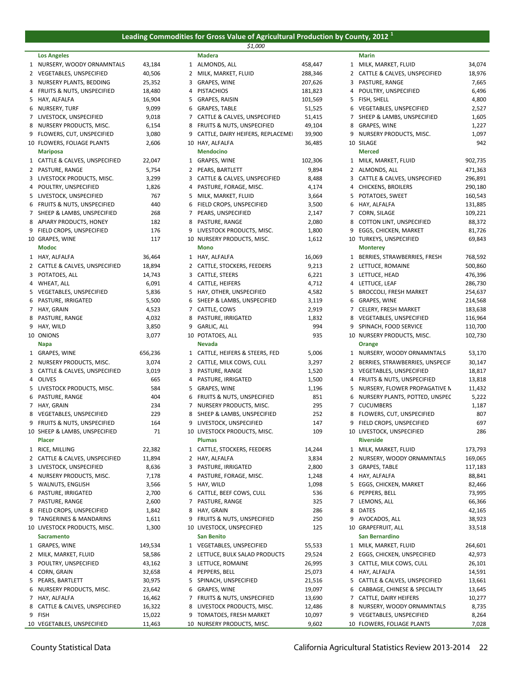### **Leading Commodities for Gross Value of Agricultural Production by County, 2012 <sup>1</sup>** *\$1,000*

|                                                       |                |   | \$1,000                                                        |                  |        |                                               |                    |
|-------------------------------------------------------|----------------|---|----------------------------------------------------------------|------------------|--------|-----------------------------------------------|--------------------|
| <b>Los Angeles</b>                                    |                |   | <b>Madera</b>                                                  |                  |        | Marin                                         |                    |
| 1 NURSERY, WOODY ORNAMNTALS                           | 43,184         |   | 1 ALMONDS, ALL                                                 | 458,447          |        | 1 MILK, MARKET, FLUID                         | 34,074             |
| 2 VEGETABLES, UNSPECIFIED                             | 40,506         |   | 2 MILK, MARKET, FLUID                                          | 288,346          |        | 2 CATTLE & CALVES, UNSPECIFIED                | 18,976             |
| 3 NURSERY PLANTS, BEDDING                             | 25,352         |   | 3 GRAPES, WINE                                                 | 207,626          |        | 3 PASTURE, RANGE                              | 7,665              |
| 4 FRUITS & NUTS, UNSPECIFIED                          | 18,480         |   | 4 PISTACHIOS                                                   | 181,823          |        | 4 POULTRY, UNSPECIFIED                        | 6,496              |
| 5 HAY, ALFALFA                                        | 16,904         |   | 5 GRAPES, RAISIN                                               | 101,569          |        | 5 FISH, SHELL                                 | 4,800              |
| 6 NURSERY, TURF                                       | 9,099          |   | 6 GRAPES, TABLE                                                | 51,525           |        | 6 VEGETABLES, UNSPECIFIED                     | 2,527              |
| 7 LIVESTOCK, UNSPECIFIED<br>8 NURSERY PRODUCTS, MISC. | 9,018<br>6,154 |   | 7 CATTLE & CALVES, UNSPECIFIED<br>8 FRUITS & NUTS, UNSPECIFIED | 51,415<br>49,104 | 8      | 7 SHEEP & LAMBS, UNSPECIFIED<br>GRAPES, WINE  | 1,605<br>1,227     |
| 9 FLOWERS, CUT, UNSPECIFIED                           | 3,080          |   | 9 CATTLE, DAIRY HEIFERS, REPLACEMEI                            | 39,900           | 9      | NURSERY PRODUCTS, MISC.                       | 1,097              |
| 10 FLOWERS, FOLIAGE PLANTS                            | 2,606          |   | 10 HAY, ALFALFA                                                | 36,485           |        | 10 SILAGE                                     | 942                |
| <b>Mariposa</b>                                       |                |   | <b>Mendocino</b>                                               |                  |        | <b>Merced</b>                                 |                    |
| 1 CATTLE & CALVES, UNSPECIFIED                        | 22,047         |   | 1 GRAPES, WINE                                                 | 102,306          |        | 1 MILK, MARKET, FLUID                         | 902,735            |
| 2 PASTURE, RANGE                                      | 5,754          |   | 2 PEARS, BARTLETT                                              | 9,894            |        | 2 ALMONDS, ALL                                | 471,363            |
| 3 LIVESTOCK PRODUCTS, MISC.                           | 3,299          |   | 3 CATTLE & CALVES, UNSPECIFIED                                 | 8,488            |        | 3 CATTLE & CALVES, UNSPECIFIED                | 296,891            |
| 4 POULTRY, UNSPECIFIED                                | 1,826          |   | 4 PASTURE, FORAGE, MISC.                                       | 4,174            |        | 4 CHICKENS, BROILERS                          | 290,180            |
| 5 LIVESTOCK, UNSPECIFIED                              | 767            |   | 5 MILK, MARKET, FLUID                                          | 3,664            |        | 5 POTATOES, SWEET                             | 160,543            |
| 6 FRUITS & NUTS, UNSPECIFIED                          | 440            | 6 | FIELD CROPS, UNSPECIFIED                                       | 3,500            |        | 6 HAY, ALFALFA                                | 131,885            |
| 7 SHEEP & LAMBS, UNSPECIFIED                          | 268            |   | 7 PEARS, UNSPECIFIED                                           | 2,147            |        | 7 CORN, SILAGE                                | 109,221            |
| 8 APIARY PRODUCTS, HONEY                              | 182            |   | 8 PASTURE, RANGE                                               | 2,080            |        | 8 COTTON LINT, UNSPECIFIED                    | 88,372             |
| 9 FIELD CROPS, UNSPECIFIED                            | 176            |   | 9 LIVESTOCK PRODUCTS, MISC.                                    | 1,800            | 9      | EGGS, CHICKEN, MARKET                         | 81,726             |
| 10 GRAPES, WINE                                       | 117            |   | 10 NURSERY PRODUCTS, MISC.                                     | 1,612            |        | 10 TURKEYS, UNSPECIFIED                       | 69,843             |
| Modoc                                                 |                |   | Mono                                                           |                  |        | <b>Monterey</b>                               |                    |
| 1 HAY, ALFALFA                                        | 36,464         |   | 1 HAY, ALFALFA                                                 | 16,069           |        | 1 BERRIES, STRAWBERRIES, FRESH                | 768,592            |
| 2 CATTLE & CALVES, UNSPECIFIED                        | 18,894         |   | 2 CATTLE, STOCKERS, FEEDERS                                    | 9,213            |        | 2 LETTUCE, ROMAINE                            | 500,860            |
| 3 POTATOES, ALL                                       | 14,743         |   | 3 CATTLE, STEERS                                               | 6,221            |        | 3 LETTUCE, HEAD                               | 476,396            |
| 4 WHEAT, ALL                                          | 6,091          |   | 4 CATTLE, HEIFERS                                              | 4,712            |        | 4 LETTUCE, LEAF                               | 286,730            |
| 5 VEGETABLES, UNSPECIFIED<br>6 PASTURE, IRRIGATED     | 5,836<br>5,500 |   | 5 HAY, OTHER, UNSPECIFIED<br>6 SHEEP & LAMBS, UNSPECIFIED      | 4,582<br>3,119   | 5<br>6 | <b>BROCCOLI, FRESH MARKET</b><br>GRAPES, WINE | 254,637<br>214,568 |
| 7 HAY, GRAIN                                          | 4,523          |   | 7 CATTLE, COWS                                                 | 2,919            |        | 7 CELERY, FRESH MARKET                        | 183,638            |
| 8 PASTURE, RANGE                                      | 4,032          |   | 8 PASTURE, IRRIGATED                                           | 1,832            |        | 8 VEGETABLES, UNSPECIFIED                     | 116,964            |
| 9 HAY, WILD                                           | 3,850          |   | 9 GARLIC, ALL                                                  | 994              | 9      | SPINACH, FOOD SERVICE                         | 110,700            |
| 10 ONIONS                                             | 3,077          |   | 10 POTATOES, ALL                                               | 935              |        | 10 NURSERY PRODUCTS, MISC.                    | 102,730            |
| <b>Napa</b>                                           |                |   | Nevada                                                         |                  |        | Orange                                        |                    |
| 1 GRAPES, WINE                                        | 656,236        |   | 1 CATTLE, HEIFERS & STEERS, FED                                | 5,006            |        | 1 NURSERY, WOODY ORNAMNTALS                   | 53,170             |
| 2 NURSERY PRODUCTS, MISC.                             | 3,074          |   | 2 CATTLE, MILK COWS, CULL                                      | 3,297            |        | 2 BERRIES, STRAWBERRIES, UNSPECIF             | 30,147             |
| 3 CATTLE & CALVES, UNSPECIFIED                        | 3,019          |   | 3 PASTURE, RANGE                                               | 1,520            |        | 3 VEGETABLES, UNSPECIFIED                     | 18,817             |
| 4 OLIVES                                              | 665            |   | 4 PASTURE, IRRIGATED                                           | 1,500            |        | 4 FRUITS & NUTS, UNSPECIFIED                  | 13,818             |
| 5 LIVESTOCK PRODUCTS, MISC.                           | 584            |   | 5 GRAPES, WINE                                                 | 1,196            |        | 5 NURSERY, FLOWER PROPAGATIVE N               | 11,432             |
| 6 PASTURE, RANGE                                      | 404            |   | 6 FRUITS & NUTS, UNSPECIFIED                                   | 851              | 6      | NURSERY PLANTS, POTTED, UNSPEC                | 5,222              |
| 7 HAY, GRAIN                                          | 234            |   | 7 NURSERY PRODUCTS, MISC.                                      | 295              |        | 7 CUCUMBERS                                   | 1,187              |
| 8 VEGETABLES, UNSPECIFIED                             | 229            |   | 8 SHEEP & LAMBS, UNSPECIFIED                                   | 252              |        | 8 FLOWERS, CUT, UNSPECIFIED                   | 807                |
| 9 FRUITS & NUTS, UNSPECIFIED                          | 164            |   | 9 LIVESTOCK, UNSPECIFIED                                       | 147              |        | 9 FIELD CROPS, UNSPECIFIED                    | 697                |
| 10 SHEEP & LAMBS, UNSPECIFIED<br><b>Placer</b>        | 71             |   | 10 LIVESTOCK PRODUCTS, MISC.<br><b>Plumas</b>                  | 109              |        | 10 LIVESTOCK, UNSPECIFIED<br><b>Riverside</b> | 286                |
| 1 RICE, MILLING                                       | 22,382         |   | 1 CATTLE, STOCKERS, FEEDERS                                    | 14,244           |        | 1 MILK, MARKET, FLUID                         | 173,793            |
| 2 CATTLE & CALVES, UNSPECIFIED                        | 11,894         |   | 2 HAY, ALFALFA                                                 | 3,834            |        | 2 NURSERY, WOODY ORNAMNTALS                   | 169,065            |
| 3 LIVESTOCK, UNSPECIFIED                              | 8,636          |   | 3 PASTURE, IRRIGATED                                           | 2,800            | 3      | GRAPES, TABLE                                 | 117,183            |
| 4 NURSERY PRODUCTS, MISC.                             | 7,178          |   | 4 PASTURE, FORAGE, MISC.                                       | 1,248            | 4      | HAY, ALFALFA                                  | 88,841             |
| 5 WALNUTS, ENGLISH                                    | 3,566          |   | 5 HAY, WILD                                                    | 1,098            |        | 5 EGGS, CHICKEN, MARKET                       | 82,466             |
| 6 PASTURE, IRRIGATED                                  | 2,700          |   | 6 CATTLE, BEEF COWS, CULL                                      | 536              | 6      | PEPPERS, BELL                                 | 73,995             |
| 7 PASTURE, RANGE                                      | 2,600          |   | 7 PASTURE, RANGE                                               | 325              |        | 7 LEMONS, ALL                                 | 66,366             |
| 8 FIELD CROPS, UNSPECIFIED                            | 1,842          |   | 8 HAY, GRAIN                                                   | 286              | 8      | DATES                                         | 42,165             |
| 9 TANGERINES & MANDARINS                              | 1,611          |   | 9 FRUITS & NUTS, UNSPECIFIED                                   | 250              |        | 9 AVOCADOS, ALL                               | 38,923             |
| 10 LIVESTOCK PRODUCTS, MISC.                          | 1,300          |   | 10 LIVESTOCK, UNSPECIFIED                                      | 125              |        | 10 GRAPEFRUIT, ALL                            | 33,518             |
| <b>Sacramento</b>                                     |                |   | San Benito                                                     |                  |        | San Bernardino                                |                    |
| 1 GRAPES, WINE                                        | 149,534        |   | 1 VEGETABLES, UNSPECIFIED                                      | 55,533           |        | 1 MILK, MARKET, FLUID                         | 264,601            |
| 2 MILK, MARKET, FLUID                                 | 58,586         |   | 2 LETTUCE, BULK SALAD PRODUCTS                                 | 29,524           |        | 2 EGGS, CHICKEN, UNSPECIFIED                  | 42,973             |
| 3 POULTRY, UNSPECIFIED                                | 43,162         |   | 3 LETTUCE, ROMAINE                                             | 26,995           |        | 3 CATTLE, MILK COWS, CULL                     | 26,101             |
| 4 CORN, GRAIN                                         | 32,658         |   | 4 PEPPERS, BELL                                                | 25,073           |        | 4 HAY, ALFALFA                                | 14,591             |
| 5 PEARS, BARTLETT                                     | 30,975         |   | 5 SPINACH, UNSPECIFIED                                         | 21,516           |        | 5 CATTLE & CALVES, UNSPECIFIED                | 13,661             |
| 6 NURSERY PRODUCTS, MISC.                             | 23,642         |   | 6 GRAPES, WINE                                                 | 19,097           |        | 6 CABBAGE, CHINESE & SPECIALTY                | 13,645             |
| 7 HAY, ALFALFA                                        | 16,462         |   | 7 FRUITS & NUTS, UNSPECIFIED                                   | 13,690           | 7      | CATTLE, DAIRY HEIFERS                         | 10,277             |
| 8 CATTLE & CALVES, UNSPECIFIED                        | 16,322         |   | 8 LIVESTOCK PRODUCTS, MISC.                                    | 12,486           |        | 8 NURSERY, WOODY ORNAMNTALS                   | 8,735              |

| <b>Los Angeles</b>                |         |   | <b>Madera</b>                       |         |   | Marin                             |              |
|-----------------------------------|---------|---|-------------------------------------|---------|---|-----------------------------------|--------------|
| 1 NURSERY, WOODY ORNAMNTALS       | 43,184  |   | 1 ALMONDS, ALL                      | 458,447 |   | 1 MILK, MARKET, FLUID             | 34,074       |
| 2 VEGETABLES, UNSPECIFIED         | 40,506  |   | 2 MILK, MARKET, FLUID               | 288,346 |   | 2 CATTLE & CALVES, UNSPECIFIED    | 18,976       |
| 3 NURSERY PLANTS, BEDDING         | 25,352  |   | 3 GRAPES, WINE                      | 207,626 |   | 3 PASTURE, RANGE                  | 7,665        |
| 4 FRUITS & NUTS, UNSPECIFIED      | 18,480  | 4 | PISTACHIOS                          | 181,823 |   | 4 POULTRY, UNSPECIFIED            | 6,496        |
| 5 HAY, ALFALFA                    | 16,904  |   | 5 GRAPES, RAISIN                    | 101,569 | 5 | FISH, SHELL                       | 4,800        |
| 6 NURSERY, TURF                   | 9,099   |   | 6 GRAPES, TABLE                     | 51,525  |   | 6 VEGETABLES, UNSPECIFIED         | 2,527        |
| 7 LIVESTOCK, UNSPECIFIED          | 9,018   |   | 7 CATTLE & CALVES, UNSPECIFIED      | 51,415  |   | 7 SHEEP & LAMBS, UNSPECIFIED      | 1,605        |
| 8 NURSERY PRODUCTS, MISC.         | 6,154   |   | 8 FRUITS & NUTS, UNSPECIFIED        | 49,104  |   | 8 GRAPES, WINE                    | 1,227        |
| 9 FLOWERS, CUT, UNSPECIFIED       | 3,080   |   | 9 CATTLE, DAIRY HEIFERS, REPLACEMEI | 39,900  |   | 9 NURSERY PRODUCTS, MISC.         | 1,097        |
| <b>10 FLOWERS, FOLIAGE PLANTS</b> | 2,606   |   | 10 HAY, ALFALFA                     | 36,485  |   | 10 SILAGE                         | 942          |
| <b>Mariposa</b>                   |         |   | <b>Mendocino</b>                    |         |   | <b>Merced</b>                     |              |
| 1 CATTLE & CALVES, UNSPECIFIED    | 22,047  |   | 1 GRAPES, WINE                      | 102,306 |   | 1 MILK, MARKET, FLUID             | 902,735      |
| 2 PASTURE, RANGE                  | 5,754   |   | 2 PEARS, BARTLETT                   | 9,894   |   | 2 ALMONDS, ALL                    | 471,363      |
| 3 LIVESTOCK PRODUCTS, MISC.       | 3,299   |   | 3 CATTLE & CALVES, UNSPECIFIED      | 8,488   |   | 3 CATTLE & CALVES, UNSPECIFIED    | 296,891      |
| 4 POULTRY, UNSPECIFIED            | 1,826   |   | 4 PASTURE, FORAGE, MISC.            | 4,174   |   | 4 CHICKENS, BROILERS              | 290,180      |
| 5 LIVESTOCK, UNSPECIFIED          | 767     |   | 5 MILK, MARKET, FLUID               | 3,664   |   | 5 POTATOES, SWEET                 | 160,543      |
| 6 FRUITS & NUTS, UNSPECIFIED      | 440     |   | 6 FIELD CROPS, UNSPECIFIED          | 3,500   |   | 6 HAY, ALFALFA                    | 131,885      |
| 7 SHEEP & LAMBS, UNSPECIFIED      | 268     |   | 7 PEARS, UNSPECIFIED                | 2,147   |   | 7 CORN, SILAGE                    | 109,221      |
| 8 APIARY PRODUCTS, HONEY          | 182     |   | 8 PASTURE, RANGE                    | 2,080   | 8 | <b>COTTON LINT, UNSPECIFIED</b>   | 88,372       |
| 9 FIELD CROPS, UNSPECIFIED        | 176     |   | 9 LIVESTOCK PRODUCTS, MISC.         | 1,800   | 9 | EGGS, CHICKEN, MARKET             | 81,726       |
| LO GRAPES, WINE                   | 117     |   | 10 NURSERY PRODUCTS, MISC.          | 1,612   |   | 10 TURKEYS, UNSPECIFIED           | 69,843       |
| <b>Modoc</b>                      |         |   | <b>Mono</b>                         |         |   | <b>Monterey</b>                   |              |
| 1 HAY, ALFALFA                    | 36,464  |   | 1 HAY, ALFALFA                      | 16,069  |   | 1 BERRIES, STRAWBERRIES, FRESH    | 768,592      |
| 2 CATTLE & CALVES, UNSPECIFIED    | 18,894  |   | 2 CATTLE, STOCKERS, FEEDERS         | 9,213   |   | 2 LETTUCE, ROMAINE                | 500,860      |
| 3 POTATOES, ALL                   | 14,743  |   | 3 CATTLE, STEERS                    | 6,221   |   | 3 LETTUCE, HEAD                   | 476,396      |
| 4 WHEAT, ALL                      | 6,091   |   | 4 CATTLE, HEIFERS                   | 4,712   |   | 4 LETTUCE, LEAF                   | 286,730      |
| 5 VEGETABLES, UNSPECIFIED         | 5,836   |   | 5 HAY, OTHER, UNSPECIFIED           | 4,582   | 5 | <b>BROCCOLI, FRESH MARKET</b>     | 254,637      |
| 6 PASTURE, IRRIGATED              | 5,500   |   | 6 SHEEP & LAMBS, UNSPECIFIED        | 3,119   | 6 | GRAPES, WINE                      | 214,568      |
| 7 HAY, GRAIN                      | 4,523   |   | 7 CATTLE, COWS                      | 2,919   |   | 7 CELERY, FRESH MARKET            | 183,638      |
| 8 PASTURE, RANGE                  | 4,032   |   | 8 PASTURE, IRRIGATED                | 1,832   |   | 8 VEGETABLES, UNSPECIFIED         | 116,964      |
| 9 HAY, WILD                       | 3,850   |   | 9 GARLIC, ALL                       | 994     |   | 9 SPINACH, FOOD SERVICE           | 110,700      |
| LO ONIONS                         | 3,077   |   | 10 POTATOES, ALL                    | 935     |   | 10 NURSERY PRODUCTS, MISC.        | 102,730      |
| Napa                              |         |   | <b>Nevada</b>                       |         |   | Orange                            |              |
|                                   |         |   |                                     |         |   |                                   |              |
| 1 GRAPES, WINE                    | 656,236 |   | 1 CATTLE, HEIFERS & STEERS, FED     | 5,006   |   | 1 NURSERY, WOODY ORNAMNTALS       | 53,170       |
| 2 NURSERY PRODUCTS, MISC.         | 3,074   |   | 2 CATTLE, MILK COWS, CULL           | 3,297   |   | 2 BERRIES, STRAWBERRIES, UNSPECIF | 30,147       |
| 3 CATTLE & CALVES, UNSPECIFIED    | 3,019   | 3 | PASTURE, RANGE                      | 1,520   |   | 3 VEGETABLES, UNSPECIFIED         | 18,817       |
| 4 OLIVES                          | 665     |   | 4 PASTURE, IRRIGATED                | 1,500   |   | 4 FRUITS & NUTS, UNSPECIFIED      | 13,818       |
| 5 LIVESTOCK PRODUCTS, MISC.       | 584     |   | 5 GRAPES, WINE                      | 1,196   |   | 5 NURSERY, FLOWER PROPAGATIVE N   | 11,432       |
| 6 PASTURE, RANGE                  | 404     |   | 6 FRUITS & NUTS, UNSPECIFIED        | 851     | 6 | NURSERY PLANTS, POTTED, UNSPEC    | 5,222        |
| 7 HAY, GRAIN                      | 234     |   | 7 NURSERY PRODUCTS, MISC.           | 295     |   | 7 CUCUMBERS                       | 1,187<br>807 |
| 8 VEGETABLES, UNSPECIFIED         | 229     |   | 8 SHEEP & LAMBS, UNSPECIFIED        | 252     |   | 8 FLOWERS, CUT, UNSPECIFIED       |              |
| 9 FRUITS & NUTS, UNSPECIFIED      | 164     |   | 9 LIVESTOCK, UNSPECIFIED            | 147     |   | 9 FIELD CROPS, UNSPECIFIED        | 697          |
| LO SHEEP & LAMBS, UNSPECIFIED     | 71      |   | 10 LIVESTOCK PRODUCTS, MISC.        | 109     |   | 10 LIVESTOCK, UNSPECIFIED         | 286          |
| Placer                            |         |   | <b>Plumas</b>                       |         |   | <b>Riverside</b>                  |              |
| 1 RICE, MILLING                   | 22,382  |   | 1 CATTLE, STOCKERS, FEEDERS         | 14,244  |   | 1 MILK, MARKET, FLUID             | 173,793      |
| 2 CATTLE & CALVES, UNSPECIFIED    | 11,894  |   | 2 HAY, ALFALFA                      | 3,834   |   | 2 NURSERY, WOODY ORNAMNTALS       | 169,065      |
| 3 LIVESTOCK, UNSPECIFIED          | 8,636   |   | 3 PASTURE, IRRIGATED                | 2,800   |   | 3 GRAPES, TABLE                   | 117,183      |
| 4 NURSERY PRODUCTS, MISC.         | 7,178   |   | 4 PASTURE, FORAGE, MISC.            | 1,248   |   | 4 HAY, ALFALFA                    | 88,841       |
| 5 WALNUTS, ENGLISH                | 3,566   |   | 5 HAY, WILD                         | 1,098   |   | 5 EGGS, CHICKEN, MARKET           | 82,466       |
| 6 PASTURE, IRRIGATED              | 2,700   |   | 6 CATTLE, BEEF COWS, CULL           | 536     | 6 | PEPPERS, BELL                     | 73,995       |
| 7 PASTURE, RANGE                  | 2,600   |   | 7 PASTURE, RANGE                    | 325     |   | 7 LEMONS, ALL                     | 66,366       |
| 8 FIELD CROPS, UNSPECIFIED        | 1,842   |   | 8 HAY, GRAIN                        | 286     |   | 8 DATES                           | 42,165       |
| 9 TANGERINES & MANDARINS          | 1,611   |   | 9 FRUITS & NUTS, UNSPECIFIED        | 250     |   | 9 AVOCADOS, ALL                   | 38,923       |
| 10 LIVESTOCK PRODUCTS, MISC.      | 1,300   |   | 10 LIVESTOCK, UNSPECIFIED           | 125     |   | 10 GRAPEFRUIT, ALL                | 33,518       |
| <b>Sacramento</b>                 |         |   | <b>San Benito</b>                   |         |   | <b>San Bernardino</b>             |              |
| 1 GRAPES, WINE                    | 149,534 |   | 1 VEGETABLES, UNSPECIFIED           | 55,533  |   | 1 MILK, MARKET, FLUID             | 264,601      |
| 2 MILK, MARKET, FLUID             | 58,586  |   | 2 LETTUCE, BULK SALAD PRODUCTS      | 29,524  |   | 2 EGGS, CHICKEN, UNSPECIFIED      | 42,973       |
| 3 POULTRY, UNSPECIFIED            | 43,162  |   | 3 LETTUCE, ROMAINE                  | 26,995  |   | 3 CATTLE, MILK COWS, CULL         | 26,101       |
| 4 CORN, GRAIN                     | 32,658  |   | 4 PEPPERS, BELL                     | 25,073  |   | 4 HAY, ALFALFA                    | 14,591       |
| 5 PEARS, BARTLETT                 | 30,975  |   | 5 SPINACH, UNSPECIFIED              | 21,516  |   | 5 CATTLE & CALVES, UNSPECIFIED    | 13,661       |
| 6 NURSERY PRODUCTS, MISC.         | 23,642  |   | 6 GRAPES, WINE                      | 19,097  |   | 6 CABBAGE, CHINESE & SPECIALTY    | 13,645       |
| 7 HAY, ALFALFA                    | 16,462  |   | 7 FRUITS & NUTS, UNSPECIFIED        | 13,690  |   | 7 CATTLE, DAIRY HEIFERS           | 10,277       |
| 8 CATTLE & CALVES, UNSPECIFIED    | 16,322  |   | 8 LIVESTOCK PRODUCTS, MISC.         | 12,486  |   | 8 NURSERY, WOODY ORNAMNTALS       | 8,735        |
| 9 FISH                            | 15,022  |   | 9 TOMATOES, FRESH MARKET            | 10,097  |   | 9 VEGETABLES, UNSPECIFIED         | 8,264        |
| LO VEGETABLES. UNSPECIFIED        | 11.463  |   | 10 NURSERY PRODUCTS, MISC.          | 9.602   |   | 10 FLOWERS, FOLIAGE PLANTS        | 7.028        |

|    | Marin                           |         |
|----|---------------------------------|---------|
| 1  | MILK, MARKET, FLUID             | 34,074  |
| 2  | CATTLE & CALVES, UNSPECIFIED    | 18,976  |
| 3  | PASTURE, RANGE                  | 7,665   |
| 4  | POULTRY, UNSPECIFIED            | 6,496   |
| 5  | FISH, SHELL                     |         |
|    |                                 | 4,800   |
| 6  | VEGETABLES, UNSPECIFIED         | 2,527   |
| 7  | SHEEP & LAMBS, UNSPECIFIED      | 1,605   |
| 8  | GRAPES, WINE                    | 1,227   |
| 9  | NURSERY PRODUCTS, MISC.         | 1,097   |
| 10 | SILAGE                          | 942     |
|    | <b>Merced</b>                   |         |
| 1  | MILK, MARKET, FLUID             | 902,735 |
| 2  | ALMONDS, ALL                    | 471,363 |
| 3  | CATTLE & CALVES, UNSPECIFIED    | 296,891 |
| 4  | <b>CHICKENS, BROILERS</b>       | 290,180 |
| 5  | POTATOES, SWEET                 | 160,543 |
| 6  | HAY, ALFALFA                    | 131,885 |
| 7  |                                 |         |
|    | CORN, SILAGE                    | 109,221 |
| 8  | COTTON LINT, UNSPECIFIED        | 88,372  |
| 9  | EGGS, CHICKEN, MARKET           | 81,726  |
| 10 | TURKEYS, UNSPECIFIED            | 69,843  |
|    | <b>Monterey</b>                 |         |
| 1  | BERRIES, STRAWBERRIES, FRESH    | 768,592 |
| 2  | LETTUCE, ROMAINE                | 500,860 |
| 3  | LETTUCE, HEAD                   | 476,396 |
| 4  | LETTUCE, LEAF                   | 286,730 |
| 5  | <b>BROCCOLI, FRESH MARKET</b>   | 254,637 |
| 6  | GRAPES, WINE                    | 214,568 |
| 7  | CELERY, FRESH MARKET            | 183,638 |
| 8  | VEGETABLES, UNSPECIFIED         | 116,964 |
| 9  |                                 |         |
|    | SPINACH, FOOD SERVICE           | 110,700 |
| 10 | NURSERY PRODUCTS, MISC.         | 102,730 |
|    | Orange                          |         |
| 1  | NURSERY, WOODY ORNAMNTALS       | 53,170  |
| 2  | BERRIES, STRAWBERRIES, UNSPECIF | 30,147  |
| 3  | VEGETABLES, UNSPECIFIED         | 18,817  |
| 4  | FRUITS & NUTS, UNSPECIFIED      | 13,818  |
| 5  | NURSERY, FLOWER PROPAGATIVE N   | 11,432  |
| 6  | NURSERY PLANTS, POTTED, UNSPEC  | 5,222   |
| 7  | <b>CUCUMBERS</b>                | 1,187   |
| 8  | FLOWERS, CUT, UNSPECIFIED       | 807     |
| 9  | FIELD CROPS, UNSPECIFIED        | 697     |
| 10 | LIVESTOCK, UNSPECIFIED          | 286     |
|    | <b>Riverside</b>                |         |
| 1  |                                 |         |
|    | MILK, MARKET, FLUID             | 173,793 |
| 2  | NURSERY, WOODY ORNAMNTALS       | 169,065 |
| 3  | <b>GRAPES, TABLE</b>            | 117,183 |
| 4  | HAY, ALFALFA                    | 88,841  |
| 5  | EGGS, CHICKEN, MARKET           | 82,466  |
| 6  | PEPPERS, BELL                   | 73,995  |
| 7  | LEMONS, ALL                     | 66,366  |
| 8  | <b>DATES</b>                    | 42,165  |
| 9  | AVOCADOS, ALL                   | 38,923  |
|    | 10 GRAPEFRUIT, ALL              | 33,518  |
|    | <b>San Bernardino</b>           |         |
| 1  | MILK, MARKET, FLUID             | 264,601 |
| 2  | EGGS, CHICKEN, UNSPECIFIED      | 42,973  |
| 3  | CATTLE, MILK COWS, CULL         | 26,101  |
| 4  | HAY, ALFALFA                    | 14,591  |
|    |                                 |         |
| 5  | CATTLE & CALVES, UNSPECIFIED    | 13,661  |
| 6  | CABBAGE, CHINESE & SPECIALTY    | 13,645  |
| 7  | CATTLE, DAIRY HEIFERS           | 10,277  |
| 8  | NURSERY, WOODY ORNAMNTALS       | 8,735   |
| 9  | VEGETABLES, UNSPECIFIED         | 8,264   |
|    | 10 FLOWERS, FOLIAGE PLANTS      | 7,028   |

10 VEGETABLES, UNSPECIFIED 11,463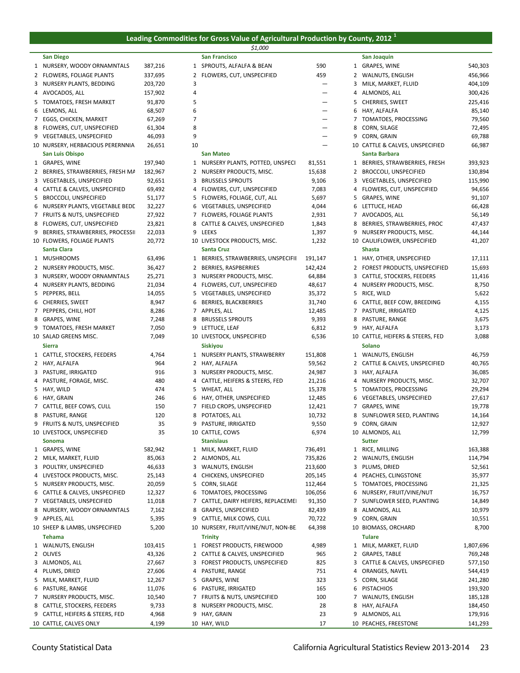#### **Leading Commodities for Gross Value of Agricultural Production by County, 2012 <sup>1</sup>** *\$1,000*

| Diego |  |  |
|-------|--|--|

| San Diego                          |         |    | San Francisco                       |         |              | San Joaquin                      |           |
|------------------------------------|---------|----|-------------------------------------|---------|--------------|----------------------------------|-----------|
| 1 NURSERY, WOODY ORNAMNTALS        | 387,216 |    | 1 SPROUTS, ALFALFA & BEAN           | 590     |              | 1 GRAPES, WINE                   | 540,303   |
| 2 FLOWERS, FOLIAGE PLANTS          | 337,695 |    | 2 FLOWERS, CUT, UNSPECIFIED         | 459     |              | 2 WALNUTS, ENGLISH               | 456,966   |
| 3 NURSERY PLANTS, BEDDING          | 203,720 | 3  |                                     |         |              | 3 MILK, MARKET, FLUID            | 404,109   |
| 4 AVOCADOS, ALL                    | 157,902 | 4  |                                     |         | 4            | ALMONDS, ALL                     | 300,426   |
|                                    |         |    |                                     |         |              |                                  |           |
| 5 TOMATOES, FRESH MARKET           | 91,870  | 5  |                                     | —       | 5            | CHERRIES, SWEET                  | 225,416   |
| 6 LEMONS, ALL                      | 68,507  | 6  |                                     | —       | 6            | HAY, ALFALFA                     | 85,140    |
| 7 EGGS, CHICKEN, MARKET            | 67,269  | 7  |                                     |         |              | 7 TOMATOES, PROCESSING           | 79,560    |
| 8 FLOWERS, CUT, UNSPECIFIED        | 61,304  | 8  |                                     | —       | 8            | CORN, SILAGE                     | 72,495    |
| 9 VEGETABLES, UNSPECIFIED          | 46,093  | 9  |                                     | —       | 9            | CORN, GRAIN                      | 69,788    |
| 10 NURSERY, HERBACIOUS PERERNNIA   | 26,651  | 10 |                                     |         |              | 10 CATTLE & CALVES, UNSPECIFIED  | 66,987    |
| <b>San Luis Obispo</b>             |         |    | <b>San Mateo</b>                    |         |              | Santa Barbara                    |           |
| 1 GRAPES, WINE                     | 197,940 |    | 1 NURSERY PLANTS, POTTED, UNSPECI   | 81,551  |              | 1 BERRIES, STRAWBERRIES, FRESH   | 393,923   |
| 2 BERRIES, STRAWBERRIES, FRESH MA  | 182,967 |    | 2 NURSERY PRODUCTS, MISC.           | 15,638  | $\mathbf{2}$ | <b>BROCCOLI, UNSPECIFIED</b>     | 130,894   |
| 3 VEGETABLES, UNSPECIFIED          | 92,651  |    | 3 BRUSSELS SPROUTS                  | 9,106   |              | 3 VEGETABLES, UNSPECIFIED        | 115,990   |
| 4 CATTLE & CALVES, UNSPECIFIED     | 69,492  |    | 4 FLOWERS, CUT, UNSPECIFIED         | 7,083   |              | 4 FLOWERS, CUT, UNSPECIFIED      | 94,656    |
| 5 BROCCOLI, UNSPECIFIED            | 51,177  |    | 5 FLOWERS, FOLIAGE, CUT, ALL        | 5,697   |              | 5 GRAPES, WINE                   | 91,107    |
| 6 NURSERY PLANTS, VEGETABLE BEDD   | 32,227  |    | 6 VEGETABLES, UNSPECIFIED           | 4,044   |              | 6 LETTUCE, HEAD                  | 66,428    |
|                                    |         |    |                                     |         |              |                                  |           |
| 7 FRUITS & NUTS, UNSPECIFIED       | 27,922  |    | 7 FLOWERS, FOLIAGE PLANTS           | 2,931   |              | 7 AVOCADOS, ALL                  | 56,149    |
| 8 FLOWERS, CUT, UNSPECIFIED        | 23,821  |    | 8 CATTLE & CALVES, UNSPECIFIED      | 1,843   | 8            | BERRIES, STRAWBERRIES, PROC      | 47,437    |
| 9 BERRIES, STRAWBERRIES, PROCESSII | 22,033  |    | 9 LEEKS                             | 1,397   | 9            | NURSERY PRODUCTS, MISC.          | 44,144    |
| 10 FLOWERS, FOLIAGE PLANTS         | 20,772  |    | 10 LIVESTOCK PRODUCTS, MISC.        | 1,232   |              | 10 CAULIFLOWER, UNSPECIFIED      | 41,207    |
| <b>Santa Clara</b>                 |         |    | <b>Santa Cruz</b>                   |         |              | <b>Shasta</b>                    |           |
| 1 MUSHROOMS                        | 63,496  |    | 1 BERRIES, STRAWBERRIES, UNSPECIFIE | 191,147 |              | 1 HAY, OTHER, UNSPECIFIED        | 17,111    |
| 2 NURSERY PRODUCTS, MISC.          | 36,427  |    | 2 BERRIES, RASPBERRIES              | 142,424 |              | 2 FOREST PRODUCTS, UNSPECIFIED   | 15,693    |
| 3 NURSERY, WOODY ORNAMNTALS        | 25,271  |    | 3 NURSERY PRODUCTS, MISC.           | 64,884  | 3            | CATTLE, STOCKERS, FEEDERS        | 11,416    |
| 4 NURSERY PLANTS, BEDDING          | 21,034  |    | 4 FLOWERS, CUT, UNSPECIFIED         | 48,617  |              | 4 NURSERY PRODUCTS, MISC.        | 8,750     |
| 5 PEPPERS, BELL                    | 14,055  |    | 5 VEGETABLES, UNSPECIFIED           | 35,372  |              | 5 RICE, WILD                     | 5,622     |
| 6 CHERRIES, SWEET                  | 8,947   |    | 6 BERRIES, BLACKBERRIES             | 31,740  |              | 6 CATTLE, BEEF COW, BREEDING     | 4,155     |
| 7 PEPPERS, CHILI, HOT              | 8,286   |    | 7 APPLES, ALL                       | 12,485  |              | 7 PASTURE, IRRIGATED             | 4,125     |
|                                    |         |    |                                     |         |              |                                  |           |
| 8 GRAPES, WINE                     | 7,248   | 8  | <b>BRUSSELS SPROUTS</b>             | 9,393   |              | 8 PASTURE, RANGE                 | 3,675     |
| 9 TOMATOES, FRESH MARKET           | 7,050   |    | 9 LETTUCE, LEAF                     | 6,812   |              | 9 HAY, ALFALFA                   | 3,173     |
| 10 SALAD GREENS MISC.              | 7,049   |    | 10 LIVESTOCK, UNSPECIFIED           | 6,536   |              | 10 CATTLE, HEIFERS & STEERS, FED | 3,088     |
| <b>Sierra</b>                      |         |    | <b>Siskiyou</b>                     |         |              | Solano                           |           |
| 1 CATTLE, STOCKERS, FEEDERS        | 4,764   |    | 1 NURSERY PLANTS, STRAWBERRY        | 151,808 |              | 1 WALNUTS, ENGLISH               | 46,759    |
| 2 HAY, ALFALFA                     | 964     |    | 2 HAY, ALFALFA                      | 59,562  |              | 2 CATTLE & CALVES, UNSPECIFIED   | 40,765    |
| 3 PASTURE, IRRIGATED               | 916     |    | 3 NURSERY PRODUCTS, MISC.           | 24,987  |              | 3 HAY, ALFALFA                   | 36,085    |
| 4 PASTURE, FORAGE, MISC.           | 480     |    | 4 CATTLE, HEIFERS & STEERS, FED     | 21,216  |              | 4 NURSERY PRODUCTS, MISC.        | 32,707    |
| 5 HAY, WILD                        | 474     |    | 5 WHEAT, ALL                        | 15,378  |              | 5 TOMATOES, PROCESSING           | 29,294    |
| 6 HAY, GRAIN                       | 246     |    | 6 HAY, OTHER, UNSPECIFIED           | 12,485  |              | 6 VEGETABLES, UNSPECIFIED        | 27,617    |
| 7 CATTLE, BEEF COWS, CULL          | 150     |    | 7 FIELD CROPS, UNSPECIFIED          | 12,421  |              | 7 GRAPES, WINE                   | 19,778    |
| 8 PASTURE, RANGE                   | 120     |    | 8 POTATOES, ALL                     | 10,732  |              | 8 SUNFLOWER SEED, PLANTING       | 14,164    |
|                                    | 35      |    |                                     |         |              |                                  | 12,927    |
| 9 FRUITS & NUTS, UNSPECIFIED       |         |    | 9 PASTURE, IRRIGATED                | 9,550   |              | 9 CORN, GRAIN                    |           |
| 10 LIVESTOCK, UNSPECIFIED          | 35      |    | 10 CATTLE, COWS                     | 6,974   |              | 10 ALMONDS, ALL                  | 12,799    |
| <b>Sonoma</b>                      |         |    | <b>Stanislaus</b>                   |         |              | <b>Sutter</b>                    |           |
| 1 GRAPES, WINE                     | 582,942 |    | 1 MILK, MARKET, FLUID               | 736,491 |              | 1 RICE, MILLING                  | 163,388   |
| 2 MILK, MARKET, FLUID              | 85,063  |    | 2 ALMONDS, ALL                      | 735,826 |              | 2 WALNUTS, ENGLISH               | 114,794   |
| 3 POULTRY, UNSPECIFIED             | 46,633  |    | 3 WALNUTS, ENGLISH                  | 213,600 | 3            | PLUMS, DRIED                     | 52,561    |
| 4 LIVESTOCK PRODUCTS, MISC.        | 25,143  |    | 4 CHICKENS, UNSPECIFIED             | 205,145 | 4            | PEACHES, CLINGSTONE              | 35,977    |
| 5 NURSERY PRODUCTS, MISC.          | 20,059  | 5  | CORN, SILAGE                        | 112,464 |              | 5 TOMATOES, PROCESSING           | 21,325    |
| 6 CATTLE & CALVES, UNSPECIFIED     | 12,327  | 6  | TOMATOES, PROCESSING                | 106,056 |              | 6 NURSERY, FRUIT/VINE/NUT        | 16,757    |
| 7 VEGETABLES, UNSPECIFIED          | 11,018  |    | 7 CATTLE, DAIRY HEIFERS, REPLACEMEI | 91,350  | 7            | SUNFLOWER SEED, PLANTING         | 14,849    |
| 8 NURSERY, WOODY ORNAMNTALS        | 7,162   | 8  | GRAPES, UNSPECIFIED                 | 82,439  | 8            | ALMONDS, ALL                     | 10,979    |
| 9 APPLES, ALL                      | 5,395   |    | 9 CATTLE, MILK COWS, CULL           | 70,722  | 9            | CORN, GRAIN                      | 10,551    |
| 10 SHEEP & LAMBS, UNSPECIFIED      | 5,200   |    | 10 NURSERY, FRUIT/VINE/NUT, NON-BE. | 64,398  |              | 10 BIOMASS, ORCHARD              | 8,700     |
|                                    |         |    |                                     |         |              |                                  |           |
| <b>Tehama</b>                      |         |    | <b>Trinity</b>                      |         |              | Tulare                           |           |
| 1 WALNUTS, ENGLISH                 | 103,415 |    | 1 FOREST PRODUCTS, FIREWOOD         | 4,989   |              | 1 MILK, MARKET, FLUID            | 1,807,696 |
| 2 OLIVES                           | 43,326  |    | 2 CATTLE & CALVES, UNSPECIFIED      | 965     |              | 2 GRAPES, TABLE                  | 769,248   |
| 3 ALMONDS, ALL                     | 27,667  |    | 3 FOREST PRODUCTS, UNSPECIFIED      | 825     | 3            | CATTLE & CALVES, UNSPECIFIED     | 577,150   |
| 4 PLUMS, DRIED                     | 27,606  |    | 4 PASTURE, RANGE                    | 751     | 4            | ORANGES, NAVEL                   | 544,419   |
| 5 MILK, MARKET, FLUID              | 12,267  |    | 5 GRAPES, WINE                      | 323     |              | 5 CORN, SILAGE                   | 241,280   |
| 6 PASTURE, RANGE                   | 11,076  |    | 6 PASTURE, IRRIGATED                | 165     | 6            | PISTACHIOS                       | 193,920   |
| 7 NURSERY PRODUCTS, MISC.          | 10,540  |    | 7 FRUITS & NUTS, UNSPECIFIED        | 100     |              | 7 WALNUTS, ENGLISH               | 185,128   |
| 8 CATTLE, STOCKERS, FEEDERS        | 9,733   | 8  | NURSERY PRODUCTS, MISC.             | 28      | 8            | HAY, ALFALFA                     | 184,450   |
| 9 CATTLE, HEIFERS & STEERS, FED    | 4,968   |    | 9 HAY, GRAIN                        | 23      | 9            | ALMONDS, ALL                     | 179,916   |
| 10 CATTLE, CALVES ONLY             | 4,199   |    | 10 HAY, WILD                        | 17      |              | 10 PEACHES, FREESTONE            | 141,293   |
|                                    |         |    |                                     |         |              |                                  |           |

| <b>San Diego</b>                   |         |                | <b>San Francisco</b>                |                   |   | San Joaquin                      |           |
|------------------------------------|---------|----------------|-------------------------------------|-------------------|---|----------------------------------|-----------|
| 1 NURSERY, WOODY ORNAMNTALS        | 387,216 |                | 1 SPROUTS, ALFALFA & BEAN           | 590               |   | 1 GRAPES, WINE                   | 540,303   |
| 2 FLOWERS, FOLIAGE PLANTS          | 337,695 |                | 2 FLOWERS, CUT, UNSPECIFIED         | 459               |   | 2 WALNUTS, ENGLISH               | 456,966   |
| 3 NURSERY PLANTS, BEDDING          | 203,720 | 3              |                                     | $\qquad \qquad$   |   | 3 MILK, MARKET, FLUID            | 404,109   |
|                                    |         |                |                                     |                   |   |                                  |           |
| 4 AVOCADOS, ALL                    | 157,902 | 4              |                                     | $\qquad \qquad$   |   | 4 ALMONDS, ALL                   | 300,426   |
| 5 TOMATOES, FRESH MARKET           | 91,870  | 5              |                                     | —                 |   | 5 CHERRIES, SWEET                | 225,416   |
| 6 LEMONS, ALL                      | 68,507  | 6              |                                     | $\qquad \qquad$   | 6 | HAY, ALFALFA                     | 85,140    |
| 7 EGGS, CHICKEN, MARKET            | 67,269  | $\overline{7}$ |                                     | $\qquad \qquad -$ |   | 7 TOMATOES, PROCESSING           | 79,560    |
| 8 FLOWERS, CUT, UNSPECIFIED        | 61,304  | 8              |                                     | —                 |   | 8 CORN, SILAGE                   | 72,495    |
| 9 VEGETABLES, UNSPECIFIED          | 46,093  | 9              |                                     | $\qquad \qquad$   |   | 9 CORN, GRAIN                    | 69,788    |
| LO NURSERY, HERBACIOUS PERERNNIA   | 26,651  | 10             |                                     |                   |   | 10 CATTLE & CALVES, UNSPECIFIED  | 66,987    |
| <b>San Luis Obispo</b>             |         |                | <b>San Mateo</b>                    |                   |   | Santa Barbara                    |           |
| 1 GRAPES, WINE                     | 197,940 |                | 1 NURSERY PLANTS, POTTED, UNSPECI   | 81,551            |   | 1 BERRIES, STRAWBERRIES, FRESH   | 393,923   |
|                                    |         |                | 2 NURSERY PRODUCTS, MISC.           |                   |   | 2 BROCCOLI, UNSPECIFIED          | 130,894   |
| 2 BERRIES, STRAWBERRIES, FRESH MA  | 182,967 |                |                                     | 15,638            |   |                                  |           |
| 3 VEGETABLES, UNSPECIFIED          | 92,651  | 3              | <b>BRUSSELS SPROUTS</b>             | 9,106             |   | 3 VEGETABLES, UNSPECIFIED        | 115,990   |
| 4 CATTLE & CALVES, UNSPECIFIED     | 69,492  |                | 4 FLOWERS, CUT, UNSPECIFIED         | 7,083             |   | 4 FLOWERS, CUT, UNSPECIFIED      | 94,656    |
| 5 BROCCOLI, UNSPECIFIED            | 51,177  |                | 5 FLOWERS, FOLIAGE, CUT, ALL        | 5,697             | 5 | GRAPES, WINE                     | 91,107    |
| 6 NURSERY PLANTS, VEGETABLE BEDE   | 32,227  |                | 6 VEGETABLES, UNSPECIFIED           | 4,044             |   | 6 LETTUCE, HEAD                  | 66,428    |
| 7 FRUITS & NUTS, UNSPECIFIED       | 27,922  |                | 7 FLOWERS, FOLIAGE PLANTS           | 2,931             |   | 7 AVOCADOS, ALL                  | 56,149    |
| 8 FLOWERS, CUT, UNSPECIFIED        | 23,821  |                | 8 CATTLE & CALVES, UNSPECIFIED      | 1,843             |   | 8 BERRIES, STRAWBERRIES, PROC    | 47,437    |
| 9 BERRIES, STRAWBERRIES, PROCESSII | 22,033  |                | 9 LEEKS                             | 1,397             | 9 | NURSERY PRODUCTS, MISC.          | 44,144    |
| <b>10 FLOWERS, FOLIAGE PLANTS</b>  | 20,772  |                | 10 LIVESTOCK PRODUCTS, MISC.        | 1,232             |   | 10 CAULIFLOWER, UNSPECIFIED      | 41,207    |
| Santa Clara                        |         |                | <b>Santa Cruz</b>                   |                   |   | <b>Shasta</b>                    |           |
|                                    |         |                |                                     |                   |   |                                  |           |
| 1 MUSHROOMS                        | 63,496  |                | 1 BERRIES, STRAWBERRIES, UNSPECIFIE | 191,147           |   | 1 HAY, OTHER, UNSPECIFIED        | 17,111    |
| 2 NURSERY PRODUCTS, MISC.          | 36,427  | $\mathbf{2}$   | BERRIES, RASPBERRIES                | 142,424           |   | 2 FOREST PRODUCTS, UNSPECIFIED   | 15,693    |
| 3 NURSERY, WOODY ORNAMNTALS        | 25,271  |                | 3 NURSERY PRODUCTS, MISC.           | 64,884            |   | 3 CATTLE, STOCKERS, FEEDERS      | 11,416    |
| 4 NURSERY PLANTS, BEDDING          | 21,034  |                | 4 FLOWERS, CUT, UNSPECIFIED         | 48,617            |   | 4 NURSERY PRODUCTS, MISC.        | 8,750     |
| 5 PEPPERS, BELL                    | 14,055  |                | 5 VEGETABLES, UNSPECIFIED           | 35,372            |   | 5 RICE, WILD                     | 5,622     |
| 6 CHERRIES, SWEET                  | 8,947   |                | 6 BERRIES, BLACKBERRIES             | 31,740            | 6 | CATTLE, BEEF COW, BREEDING       | 4,155     |
| 7 PEPPERS, CHILI, HOT              | 8,286   |                | 7 APPLES, ALL                       | 12,485            |   | 7 PASTURE, IRRIGATED             | 4,125     |
| 8 GRAPES, WINE                     | 7,248   |                | 8 BRUSSELS SPROUTS                  | 9,393             |   | 8 PASTURE, RANGE                 | 3,675     |
| 9 TOMATOES, FRESH MARKET           | 7,050   |                | 9 LETTUCE, LEAF                     | 6,812             |   | 9 HAY, ALFALFA                   | 3,173     |
| LO SALAD GREENS MISC.              | 7,049   |                | 10 LIVESTOCK, UNSPECIFIED           | 6,536             |   | 10 CATTLE, HEIFERS & STEERS, FED | 3,088     |
|                                    |         |                |                                     |                   |   |                                  |           |
| <b>Sierra</b>                      |         |                | <b>Siskiyou</b>                     |                   |   | <b>Solano</b>                    |           |
| 1 CATTLE, STOCKERS, FEEDERS        | 4,764   |                | 1 NURSERY PLANTS, STRAWBERRY        | 151,808           |   | 1 WALNUTS, ENGLISH               | 46,759    |
| 2 HAY, ALFALFA                     | 964     |                | 2 HAY, ALFALFA                      | 59,562            |   | 2 CATTLE & CALVES, UNSPECIFIED   | 40,765    |
| 3 PASTURE, IRRIGATED               | 916     |                | 3 NURSERY PRODUCTS, MISC.           | 24,987            |   | 3 HAY, ALFALFA                   | 36,085    |
| 4 PASTURE, FORAGE, MISC.           | 480     |                | 4 CATTLE, HEIFERS & STEERS, FED     | 21,216            |   | 4 NURSERY PRODUCTS, MISC.        | 32,707    |
| 5 HAY, WILD                        | 474     |                | 5 WHEAT, ALL                        | 15,378            |   | 5 TOMATOES, PROCESSING           | 29,294    |
| 6 HAY, GRAIN                       | 246     |                | 6 HAY, OTHER, UNSPECIFIED           | 12,485            |   | 6 VEGETABLES, UNSPECIFIED        | 27,617    |
| 7 CATTLE, BEEF COWS, CULL          | 150     |                | 7 FIELD CROPS, UNSPECIFIED          | 12,421            |   | 7 GRAPES, WINE                   | 19,778    |
| 8 PASTURE, RANGE                   | 120     | 8              | POTATOES, ALL                       | 10,732            |   | 8 SUNFLOWER SEED, PLANTING       | 14,164    |
| 9 FRUITS & NUTS, UNSPECIFIED       | 35      |                | 9 PASTURE, IRRIGATED                | 9,550             |   | 9 CORN, GRAIN                    | 12,927    |
|                                    |         |                |                                     |                   |   |                                  |           |
| LO LIVESTOCK, UNSPECIFIED          | 35      |                | 10 CATTLE, COWS                     | 6,974             |   | 10 ALMONDS, ALL                  | 12,799    |
| Sonoma                             |         |                | <b>Stanislaus</b>                   |                   |   | <b>Sutter</b>                    |           |
| 1 GRAPES, WINE                     | 582,942 |                | 1 MILK, MARKET, FLUID               | 736,491           |   | 1 RICE, MILLING                  | 163,388   |
| 2 MILK, MARKET, FLUID              | 85,063  |                | 2 ALMONDS, ALL                      | 735,826           |   | 2 WALNUTS, ENGLISH               | 114,794   |
| 3 POULTRY, UNSPECIFIED             | 46,633  |                | 3 WALNUTS, ENGLISH                  | 213,600           |   | 3 PLUMS, DRIED                   | 52,561    |
| 4 LIVESTOCK PRODUCTS, MISC.        | 25,143  | 4              | CHICKENS, UNSPECIFIED               | 205,145           | 4 | PEACHES, CLINGSTONE              | 35,977    |
| 5 NURSERY PRODUCTS, MISC.          | 20,059  |                | 5 CORN, SILAGE                      | 112,464           | 5 | TOMATOES, PROCESSING             | 21,325    |
| 6 CATTLE & CALVES, UNSPECIFIED     | 12,327  | 6              | TOMATOES, PROCESSING                | 106,056           | 6 | NURSERY, FRUIT/VINE/NUT          | 16,757    |
| 7 VEGETABLES, UNSPECIFIED          | 11,018  | 7              | CATTLE, DAIRY HEIFERS, REPLACEMEI   | 91,350            |   | 7 SUNFLOWER SEED, PLANTING       | 14,849    |
| 8 NURSERY, WOODY ORNAMNTALS        |         | 8              | <b>GRAPES, UNSPECIFIED</b>          | 82,439            | 8 | ALMONDS, ALL                     | 10,979    |
|                                    | 7,162   |                |                                     |                   |   |                                  |           |
| 9 APPLES, ALL                      | 5,395   |                | 9 CATTLE, MILK COWS, CULL           | 70,722            | 9 | CORN, GRAIN                      | 10,551    |
| LO SHEEP & LAMBS, UNSPECIFIED      | 5,200   |                | 10 NURSERY, FRUIT/VINE/NUT, NON-BE. | 64,398            |   | 10 BIOMASS, ORCHARD              | 8,700     |
| <b>Tehama</b>                      |         |                | <b>Trinity</b>                      |                   |   | <b>Tulare</b>                    |           |
| 1 WALNUTS, ENGLISH                 | 103,415 |                | 1 FOREST PRODUCTS, FIREWOOD         | 4,989             |   | 1 MILK, MARKET, FLUID            | 1,807,696 |
| 2 OLIVES                           | 43,326  |                | 2 CATTLE & CALVES, UNSPECIFIED      | 965               |   | 2 GRAPES, TABLE                  | 769,248   |
| 3 ALMONDS, ALL                     | 27,667  |                | 3 FOREST PRODUCTS, UNSPECIFIED      | 825               |   | 3 CATTLE & CALVES, UNSPECIFIED   | 577,150   |
| 4 PLUMS, DRIED                     | 27,606  | 4              | PASTURE, RANGE                      | 751               | 4 | ORANGES, NAVEL                   | 544,419   |
| 5 MILK, MARKET, FLUID              | 12,267  |                | 5 GRAPES, WINE                      | 323               | 5 | CORN, SILAGE                     | 241,280   |
|                                    |         |                |                                     | 165               |   | <b>PISTACHIOS</b>                |           |
| 6 PASTURE, RANGE                   | 11,076  | 6              | PASTURE, IRRIGATED                  |                   | 6 |                                  | 193,920   |
| 7 NURSERY PRODUCTS, MISC.          | 10,540  |                | 7 FRUITS & NUTS, UNSPECIFIED        | 100               |   | 7 WALNUTS, ENGLISH               | 185,128   |
| 8 CATTLE, STOCKERS, FEEDERS        | 9,733   | 8              | NURSERY PRODUCTS, MISC.             | 28                | 8 | HAY, ALFALFA                     | 184,450   |
| 9 CATTLE, HEIFERS & STEERS, FED    | 4,968   |                | 9 HAY, GRAIN                        | 23                | 9 | ALMONDS, ALL                     | 179,916   |
| LO CATTLE, CALVES ONLY             | 4,199   |                | 10 HAY, WILD                        | 17                |   | 10 PEACHES, FREESTONE            | 141,293   |

|                | San Joaquin                                  |           |
|----------------|----------------------------------------------|-----------|
|                | 1 GRAPES, WINE                               | 540,303   |
|                | 2 WALNUTS, ENGLISH                           | 456,966   |
|                | 3 MILK, MARKET, FLUID                        | 404,109   |
|                | 4 ALMONDS, ALL                               | 300,426   |
|                | 5 CHERRIES, SWEET                            | 225,416   |
|                | 6 HAY, ALFALFA                               | 85,140    |
|                | 7 TOMATOES, PROCESSING                       | 79,560    |
|                | 8 CORN, SILAGE                               | 72,495    |
|                | 9 CORN, GRAIN                                | 69,788    |
|                | 10 CATTLE & CALVES, UNSPECIFIED              | 66,987    |
|                | Santa Barbara                                |           |
| 1              | BERRIES, STRAWBERRIES, FRESH                 | 393,923   |
|                | BROCCOLI, UNSPECIFIED                        |           |
| $\mathbf{2}$   |                                              | 130,894   |
|                | 3 VEGETABLES, UNSPECIFIED                    | 115,990   |
|                | 4 FLOWERS, CUT, UNSPECIFIED                  | 94,656    |
|                | 5 GRAPES, WINE                               | 91,107    |
| 6              | LETTUCE, HEAD                                | 66,428    |
|                | 7 AVOCADOS, ALL                              | 56,149    |
|                | 8 BERRIES, STRAWBERRIES, PROC                | 47,437    |
| 9              | NURSERY PRODUCTS, MISC.                      | 44,144    |
|                | 10 CAULIFLOWER, UNSPECIFIED<br><b>Shasta</b> | 41,207    |
|                | HAY, OTHER, UNSPECIFIED                      |           |
| 1              |                                              | 17,111    |
| 2              | FOREST PRODUCTS, UNSPECIFIED                 | 15,693    |
| 3              | CATTLE, STOCKERS, FEEDERS                    | 11,416    |
|                | 4 NURSERY PRODUCTS, MISC.                    | 8,750     |
|                | 5 RICE, WILD                                 | 5,622     |
| 6              | CATTLE, BEEF COW, BREEDING                   | 4,155     |
|                | 7 PASTURE, IRRIGATED                         | 4,125     |
|                | 8 PASTURE, RANGE                             | 3,675     |
|                | 9 HAY, ALFALFA                               | 3,173     |
|                | 10 CATTLE, HEIFERS & STEERS, FED             | 3,088     |
|                | <b>Solano</b>                                |           |
| $\mathbf{1}$   | WALNUTS, ENGLISH                             | 46,759    |
| 2              | CATTLE & CALVES, UNSPECIFIED                 | 40,765    |
| 3              | HAY, ALFALFA                                 | 36,085    |
| 4              | NURSERY PRODUCTS, MISC.                      | 32,707    |
| 5              | TOMATOES, PROCESSING                         | 29,294    |
| 6              | VEGETABLES, UNSPECIFIED                      | 27,617    |
|                | 7 GRAPES, WINE                               | 19,778    |
| 8              | SUNFLOWER SEED, PLANTING                     | 14,164    |
|                | 9 CORN, GRAIN                                | 12,927    |
|                | 10 ALMONDS, ALL                              | 12,799    |
|                | <b>Sutter</b>                                |           |
| 1              | RICE, MILLING                                | 163,388   |
| $\mathbf{2}$   | WALNUTS, ENGLISH                             | 114,794   |
| 3              | PLUMS, DRIED                                 | 52,561    |
| 4              | PEACHES, CLINGSTONE                          | 35,977    |
| 5              | TOMATOES, PROCESSING                         | 21,325    |
| 6              | NURSERY, FRUIT/VINE/NUT                      | 16,757    |
| $\overline{7}$ | SUNFLOWER SEED, PLANTING                     | 14,849    |
|                | 8 ALMONDS, ALL                               | 10,979    |
| 9              | CORN, GRAIN                                  | 10,551    |
|                | 10 BIOMASS, ORCHARD                          | 8,700     |
|                | Tulare                                       |           |
| 1              | MILK, MARKET, FLUID                          | 1,807,696 |
| 2              | <b>GRAPES, TABLE</b>                         | 769,248   |
| 3              | CATTLE & CALVES, UNSPECIFIED                 | 577,150   |
|                | 4 ORANGES, NAVEL                             | 544,419   |
|                | 5 CORN, SILAGE                               | 241,280   |
|                |                                              |           |
| 6              | PISTACHIOS                                   | 193,920   |
|                | 7 WALNUTS, ENGLISH                           | 185,128   |
|                | 8 HAY, ALFALFA                               | 184,450   |
| 9              | ALMONDS, ALL                                 | 179,916   |
|                | 10 PEACHES, FREESTONE                        | 141,293   |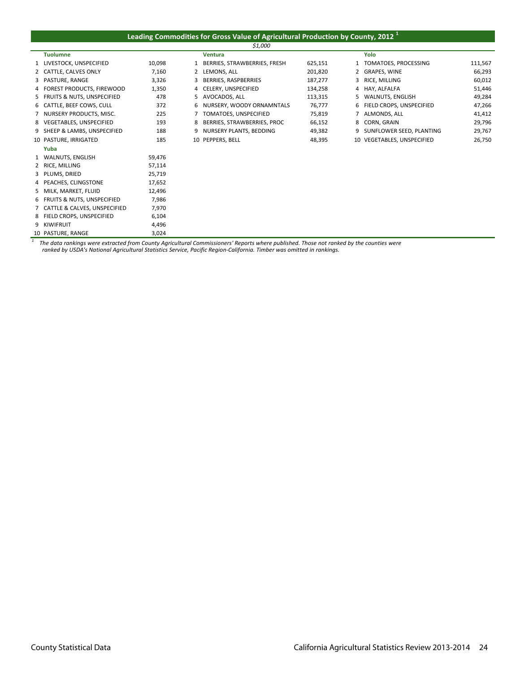## **Leading Commodities for Gross Value of Agricultural Production by County, 2012 <sup>1</sup>**

| \$1,000                        |        |   |                              |         |   |                            |         |
|--------------------------------|--------|---|------------------------------|---------|---|----------------------------|---------|
| <b>Tuolumne</b>                |        |   | <b>Ventura</b>               |         |   | Yolo                       |         |
| 1 LIVESTOCK, UNSPECIFIED       | 10,098 | 1 | BERRIES, STRAWBERRIES, FRESH | 625,151 |   | TOMATOES, PROCESSING       | 111,567 |
| 2 CATTLE, CALVES ONLY          | 7,160  | 2 | LEMONS, ALL                  | 201,820 |   | GRAPES, WINE               | 66,293  |
| 3 PASTURE, RANGE               | 3,326  | 3 | BERRIES, RASPBERRIES         | 187,277 | 3 | RICE, MILLING              | 60,012  |
| 4 FOREST PRODUCTS, FIREWOOD    | 1,350  |   | 4 CELERY, UNSPECIFIED        | 134,258 |   | 4 HAY, ALFALFA             | 51,446  |
| 5 FRUITS & NUTS, UNSPECIFIED   | 478    | 5 | AVOCADOS, ALL                | 113,315 | 5 | WALNUTS, ENGLISH           | 49,284  |
| 6 CATTLE, BEEF COWS, CULL      | 372    | 6 | NURSERY, WOODY ORNAMNTALS    | 76,777  | 6 | FIELD CROPS, UNSPECIFIED   | 47,266  |
| 7 NURSERY PRODUCTS, MISC.      | 225    |   | TOMATOES, UNSPECIFIED        | 75,819  |   | ALMONDS, ALL               | 41,412  |
| 8 VEGETABLES, UNSPECIFIED      | 193    | 8 | BERRIES, STRAWBERRIES, PROC  | 66,152  | 8 | <b>CORN. GRAIN</b>         | 29,796  |
| 9 SHEEP & LAMBS, UNSPECIFIED   | 188    | 9 | NURSERY PLANTS, BEDDING      | 49,382  | 9 | SUNFLOWER SEED, PLANTING   | 29,767  |
| 10 PASTURE, IRRIGATED          | 185    |   | 10 PEPPERS, BELL             | 48,395  |   | 10 VEGETABLES, UNSPECIFIED | 26,750  |
| Yuba                           |        |   |                              |         |   |                            |         |
| 1 WALNUTS, ENGLISH             | 59,476 |   |                              |         |   |                            |         |
| 2 RICE, MILLING                | 57,114 |   |                              |         |   |                            |         |
| 3 PLUMS, DRIED                 | 25,719 |   |                              |         |   |                            |         |
| 4 PEACHES, CLINGSTONE          | 17,652 |   |                              |         |   |                            |         |
| 5 MILK, MARKET, FLUID          | 12,496 |   |                              |         |   |                            |         |
| 6 FRUITS & NUTS, UNSPECIFIED   | 7,986  |   |                              |         |   |                            |         |
| 7 CATTLE & CALVES, UNSPECIFIED | 7,970  |   |                              |         |   |                            |         |
| 8 FIELD CROPS, UNSPECIFIED     | 6,104  |   |                              |         |   |                            |         |
| 9 KIWIFRUIT                    | 4,496  |   |                              |         |   |                            |         |
| 10 PASTURE, RANGE              | 3,024  |   |                              |         |   |                            |         |

 $^1$  The data rankings were extracted from County Agricultural Commissioners' Reports where published. Those not ranked by the counties were ranked by USDA's National Agricultural Statistics Service, Pacific Region-Califo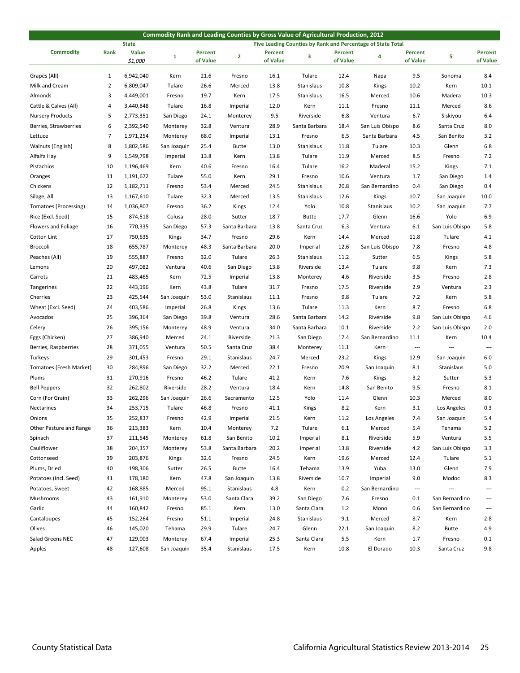| Commodity Rank and Leading Counties by Gross Value of Agricultural Production, 2012 |              |                                                                             |             |          |               |                |               |          |                 |                          |                          |                          |
|-------------------------------------------------------------------------------------|--------------|-----------------------------------------------------------------------------|-------------|----------|---------------|----------------|---------------|----------|-----------------|--------------------------|--------------------------|--------------------------|
|                                                                                     |              | <b>State</b><br>Five Leading Counties by Rank and Percentage of State Total |             |          |               |                |               |          |                 |                          |                          |                          |
| <b>Commodity</b>                                                                    | Rank         | <b>Value</b>                                                                | 1           | Percent  | $\mathbf{2}$  | <b>Percent</b> | 3             | Percent  | 4               | Percent                  | 5                        | <b>Percent</b>           |
|                                                                                     |              | \$1,000                                                                     |             | of Value |               | of Value       |               | of Value |                 | of Value                 |                          | of Value                 |
| Grapes (All)                                                                        | $\mathbf{1}$ | 6,942,040                                                                   | Kern        | 21.6     | Fresno        | 16.1           | Tulare        | 12.4     | Napa            | 9.5                      | Sonoma                   | 8.4                      |
| Milk and Cream                                                                      | 2            | 6,809,047                                                                   | Tulare      | 26.6     | Merced        | 13.8           | Stanislaus    | 10.8     | Kings           | 10.2                     | Kern                     | 10.1                     |
| Almonds                                                                             | 3            | 4,449,001                                                                   | Fresno      | 19.7     | Kern          | 17.5           | Stanislaus    | 16.5     | Merced          | 10.6                     | Madera                   | 10.3                     |
| Cattle & Calves (All)                                                               | 4            | 3,440,848                                                                   | Tulare      | 16.8     | Imperial      | 12.0           | Kern          | 11.1     | Fresno          | 11.1                     | Merced                   | 8.6                      |
| <b>Nursery Products</b>                                                             | 5            | 2,773,351                                                                   | San Diego   | 24.1     | Monterey      | 9.5            | Riverside     | 6.8      | Ventura         | 6.7                      | Siskiyou                 | 6.4                      |
| Berries, Strawberries                                                               | 6            | 2,392,540                                                                   | Monterey    | 32.8     | Ventura       | 28.9           | Santa Barbara | 18.4     | San Luis Obispo | 8.6                      | Santa Cruz               | 8.0                      |
| Lettuce                                                                             | 7            | 1,971,254                                                                   | Monterey    | 68.0     | Imperial      | 13.1           | Fresno        | 6.5      | Santa Barbara   | 4.5                      | San Benito               | 3.2                      |
| Walnuts (English)                                                                   | 8            | 1,802,586                                                                   | San Joaquin | 25.4     | Butte         | 13.0           | Stanislaus    | 11.8     | Tulare          | 10.3                     | Glenn                    | 6.8                      |
| Alfalfa Hay                                                                         | 9            | 1,549,798                                                                   | Imperial    | 13.8     | Kern          | 13.8           | Tulare        | 11.9     | Merced          | 8.5                      | Fresno                   | 7.2                      |
| Pistachios                                                                          | 10           | 1,196,469                                                                   | Kern        | 40.6     | Fresno        | 16.4           | Tulare        | 16.2     | Maderal         | 15.2                     | Kings                    | 7.1                      |
| Oranges                                                                             | 11           | 1,191,672                                                                   | Tulare      | 55.0     | Kern          | 29.1           | Fresno        | 10.6     | Ventura         | 1.7                      | San Diego                | 1.4                      |
| Chickens                                                                            | 12           | 1,182,711                                                                   | Fresno      | 53.4     | Merced        | 24.5           | Stanislaus    | 20.8     | San Bernardino  | 0.4                      | San Diego                | 0.4                      |
| Silage, All                                                                         | 13           | 1,167,610                                                                   | Tulare      | 32.3     | Merced        | 13.5           | Stanislaus    | 12.6     | Kings           | 10.7                     | San Joaquin              | 10.0                     |
| Tomatoes (Processing)                                                               | 14           | 1,036,807                                                                   | Fresno      | 36.2     | Kings         | 12.4           | Yolo          | 10.8     | Stanislaus      | 10.2                     | San Joaquin              | 7.7                      |
| Rice (Excl. Seed)                                                                   | 15           | 874,518                                                                     | Colusa      | 28.0     | Sutter        | 18.7           | <b>Butte</b>  | 17.7     | Glenn           | 16.6                     | Yolo                     | 6.9                      |
| Flowers and Foliage                                                                 | 16           | 770,335                                                                     | San Diego   | 57.3     | Santa Barbara | 13.8           | Santa Cruz    | 6.3      | Ventura         | 6.1                      | San Luis Obispo          | 5.8                      |
| Cotton Lint                                                                         | 17           | 750,635                                                                     | Kings       | 34.7     | Fresno        | 29.6           | Kern          | 14.4     | Merced          | 11.8                     | Tulare                   | 4.1                      |
| Broccoli                                                                            | 18           | 655,787                                                                     | Monterey    | 48.3     | Santa Barbara | 20.0           | Imperial      | 12.6     | San Luis Obispo | 7.8                      | Fresno                   | 4.8                      |
| Peaches (All)                                                                       | 19           | 555,887                                                                     | Fresno      | 32.0     | Tulare        | 26.3           | Stanislaus    | 11.2     | Sutter          | 6.5                      | Kings                    | 5.8                      |
| Lemons                                                                              | 20           | 497,082                                                                     | Ventura     | 40.6     | San Diego     | 13.8           | Riverside     | 13.4     | Tulare          | 9.8                      | Kern                     | 7.3                      |
| Carrots                                                                             | 21           | 483,465                                                                     | Kern        | 72.5     | Imperial      | 13.8           | Monterey      | 4.6      | Riverside       | 3.5                      | Fresno                   | 2.8                      |
| Tangerines                                                                          | 22           | 443,196                                                                     | Kern        | 43.8     | Tulare        | 31.7           | Fresno        | 17.5     | Riverside       | 2.9                      | Ventura                  | 2.3                      |
| Cherries                                                                            | 23           | 425,544                                                                     | San Joaquin | 53.0     | Stanislaus    | 11.1           | Fresno        | 9.8      | Tulare          | 7.2                      | Kern                     | 5.8                      |
| Wheat (Excl. Seed)                                                                  | 24           | 403,586                                                                     | Imperial    | 26.8     | Kings         | 13.6           | Tulare        | 11.3     | Kern            | 8.7                      | Fresno                   | 6.8                      |
| Avocados                                                                            | 25           | 396,364                                                                     | San Diego   | 39.8     | Ventura       | 28.6           | Santa Barbara | 14.2     | Riverside       | 9.8                      | San Luis Obispo          | 4.6                      |
| Celery                                                                              | 26           | 395,156                                                                     | Monterey    | 48.9     | Ventura       | 34.0           | Santa Barbara | 10.1     | Riverside       | 2.2                      | San Luis Obispo          | 2.0                      |
| Eggs (Chicken)                                                                      | 27           | 386,940                                                                     | Merced      | 24.1     | Riverside     | 21.3           | San Diego     | 17.4     | San Bernardino  | 11.1                     | Kern                     | 10.4                     |
| Berries, Raspberries                                                                | 28           | 371,055                                                                     | Ventura     | 50.5     | Santa Cruz    | 38.4           | Monterey      | 11.1     | Kern            | $\overline{\phantom{a}}$ | $\overline{\phantom{a}}$ | $\qquad \qquad -$        |
| Turkeys                                                                             | 29           | 301,453                                                                     | Fresno      | 29.1     | Stanislaus    | 24.7           | Merced        | 23.2     | Kings           | 12.9                     | San Joaquin              | 6.0                      |
| Tomatoes (Fresh Market)                                                             | 30           | 284,896                                                                     | San Diego   | 32.2     | Merced        | 22.1           | Fresno        | 20.9     | San Joaquin     | 8.1                      | Stanislaus               | 5.0                      |
| Plums                                                                               | 31           | 270,916                                                                     | Fresno      | 46.2     | Tulare        | 41.2           | Kern          | 7.6      | Kings           | 3.2                      | Sutter                   | 5.3                      |
| <b>Bell Peppers</b>                                                                 | 32           | 262,802                                                                     | Riverside   | 28.2     | Ventura       | 18.4           | Kern          | 14.8     | San Benito      | 9.5                      | Fresno                   | 8.1                      |
| Corn (For Grain)                                                                    | 33           | 262,296                                                                     | San Joaquin | 26.6     | Sacramento    | 12.5           | Yolo          | 11.4     | Glenn           | 10.3                     | Merced                   | 8.0                      |
| Nectarines                                                                          | 34           | 253,715                                                                     | Tulare      | 46.8     | Fresno        | 41.1           | Kings         | 8.2      | Kern            | 3.1                      | Los Angeles              | 0.3                      |
| Onions                                                                              | 35           | 252,837                                                                     | Fresno      | 42.9     | Imperial      | 21.5           | Kern          | 11.2     | Los Angeles     | 7.4                      | San Joaquin              | 5.4                      |
| Other Pasture and Range                                                             | 36           | 213,383                                                                     | Kern        | 10.4     | Monterey      | 7.2            | Tulare        | 6.1      | Merced          | 5.4                      | Tehama                   | 5.2                      |
| Spinach                                                                             | 37           | 211,545                                                                     | Monterey    | 61.8     | San Benito    | 10.2           | Imperial      | 8.1      | Riverside       | 5.9                      | Ventura                  | 5.5                      |
| Cauliflower                                                                         | 38           | 204,357                                                                     | Monterey    | 53.8     | Santa Barbara | 20.2           | Imperial      | 13.8     | Riverside       | 4.2                      | San Luis Obispo          | 3.3                      |
| Cottonseed                                                                          | 39           | 203,876                                                                     | Kings       | 32.6     | Fresno        | 24.5           | Kern          | 19.6     | Merced          | 12.4                     | Tulare                   | 5.1                      |
| Plums, Dried                                                                        | 40           | 198,306                                                                     | Sutter      | 26.5     | <b>Butte</b>  | 16.4           | Tehama        | 13.9     | Yuba            | 13.0                     | Glenn                    | 7.9                      |
| Potatoes (Incl. Seed)                                                               | 41           | 178,180                                                                     | Kern        | 47.8     | San Joaquin   | 13.8           | Riverside     | 10.7     | Imperial        | 9.0                      | Modoc                    | 8.3                      |
| Potatoes, Sweet                                                                     | 42           | 168,885                                                                     | Merced      | 95.1     | Stanislaus    | 4.8            | Kern          | 0.2      | San Bernardino  | $\cdots$                 | $\overline{\phantom{a}}$ | $\overline{\phantom{a}}$ |
| Mushrooms                                                                           | 43           | 161,910                                                                     | Monterey    | 53.0     | Santa Clara   | 39.2           | San Diego     | 7.6      | Fresno          | 0.1                      | San Bernardino           | $\overline{a}$           |
| Garlic                                                                              | 44           | 160,842                                                                     | Fresno      | 85.1     | Kern          | 13.0           | Santa Clara   | 1.2      | Mono            | 0.6                      | San Bernardino           | ---                      |
| Cantaloupes                                                                         | 45           | 152,264                                                                     | Fresno      | 51.1     | Imperial      | 24.8           | Stanislaus    | 9.1      | Merced          | 8.7                      | Kern                     | 2.8                      |
| Olives                                                                              | 46           | 145,020                                                                     | Tehama      | 29.9     | Tulare        | 24.7           | Glenn         | 22.1     | San Joaquin     | 8.2                      | <b>Butte</b>             | 4.9                      |
| Salad Greens NEC                                                                    | 47           | 129,003                                                                     | Monterey    | 67.4     | Imperial      | 25.3           | Santa Clara   | 5.5      | Kern            | $1.7\,$                  | Fresno                   | 0.1                      |
| Apples                                                                              | 48           | 127,608                                                                     | San Joaquin | 35.4     | Stanislaus    | 17.5           | Kern          | 10.8     | El Dorado       | 10.3                     | Santa Cruz               | 9.8                      |